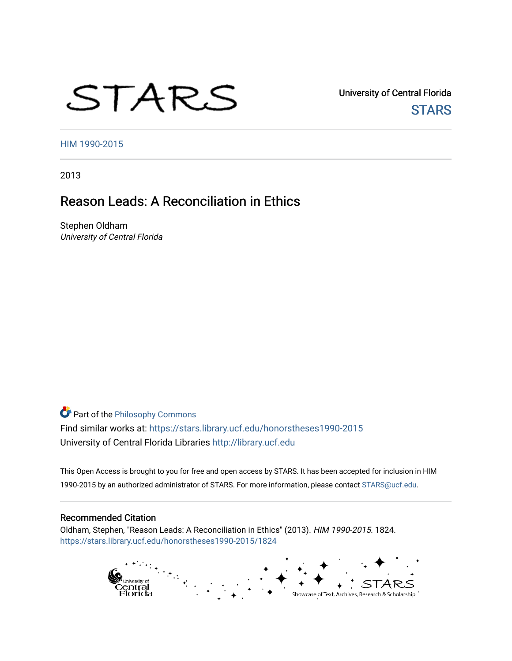# STARS

University of Central Florida **STARS** 

[HIM 1990-2015](https://stars.library.ucf.edu/honorstheses1990-2015) 

2013

# Reason Leads: A Reconciliation in Ethics

Stephen Oldham University of Central Florida

**Part of the Philosophy Commons** Find similar works at: <https://stars.library.ucf.edu/honorstheses1990-2015> University of Central Florida Libraries [http://library.ucf.edu](http://library.ucf.edu/) 

This Open Access is brought to you for free and open access by STARS. It has been accepted for inclusion in HIM 1990-2015 by an authorized administrator of STARS. For more information, please contact [STARS@ucf.edu](mailto:STARS@ucf.edu).

#### Recommended Citation

Oldham, Stephen, "Reason Leads: A Reconciliation in Ethics" (2013). HIM 1990-2015. 1824. [https://stars.library.ucf.edu/honorstheses1990-2015/1824](https://stars.library.ucf.edu/honorstheses1990-2015/1824?utm_source=stars.library.ucf.edu%2Fhonorstheses1990-2015%2F1824&utm_medium=PDF&utm_campaign=PDFCoverPages) 

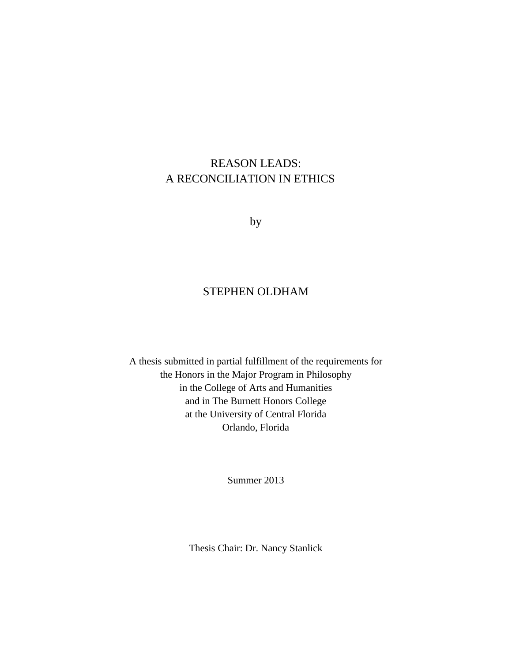# REASON LEADS: A RECONCILIATION IN ETHICS

by

## STEPHEN OLDHAM

A thesis submitted in partial fulfillment of the requirements for the Honors in the Major Program in Philosophy in the College of Arts and Humanities and in The Burnett Honors College at the University of Central Florida Orlando, Florida

Summer 2013

Thesis Chair: Dr. Nancy Stanlick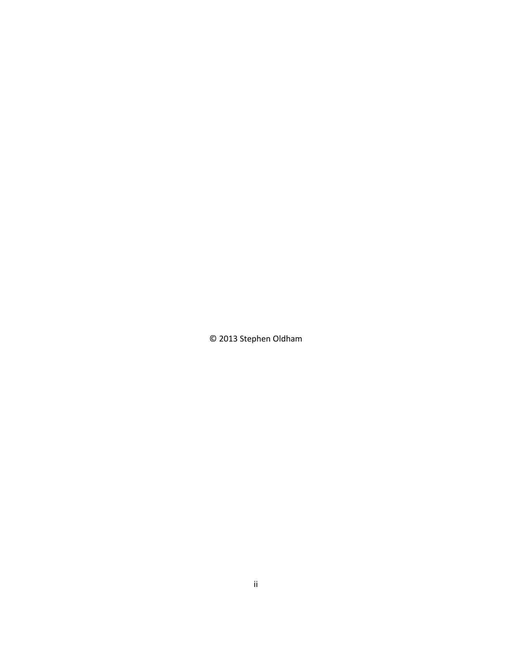© 2013 Stephen Oldham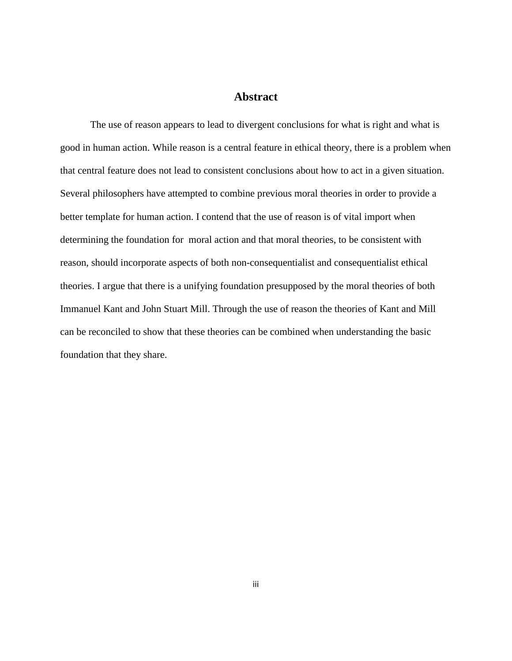## **Abstract**

The use of reason appears to lead to divergent conclusions for what is right and what is good in human action. While reason is a central feature in ethical theory, there is a problem when that central feature does not lead to consistent conclusions about how to act in a given situation. Several philosophers have attempted to combine previous moral theories in order to provide a better template for human action. I contend that the use of reason is of vital import when determining the foundation for moral action and that moral theories, to be consistent with reason, should incorporate aspects of both non-consequentialist and consequentialist ethical theories. I argue that there is a unifying foundation presupposed by the moral theories of both Immanuel Kant and John Stuart Mill. Through the use of reason the theories of Kant and Mill can be reconciled to show that these theories can be combined when understanding the basic foundation that they share.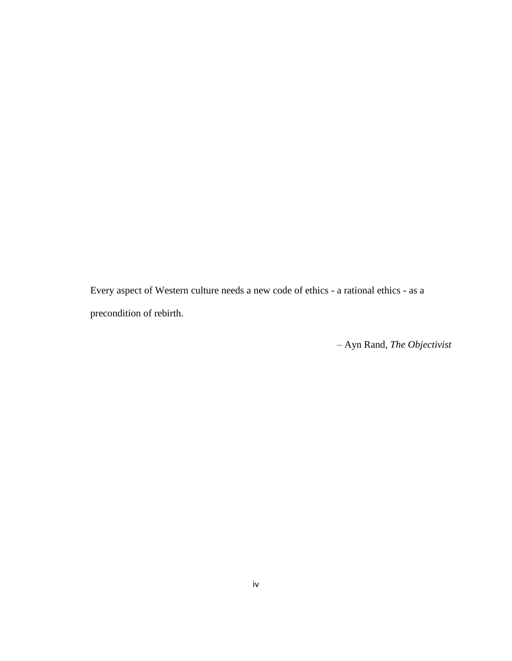Every aspect of Western culture needs a new code of ethics - a rational ethics - as a precondition of rebirth.

– Ayn Rand, *The Objectivist*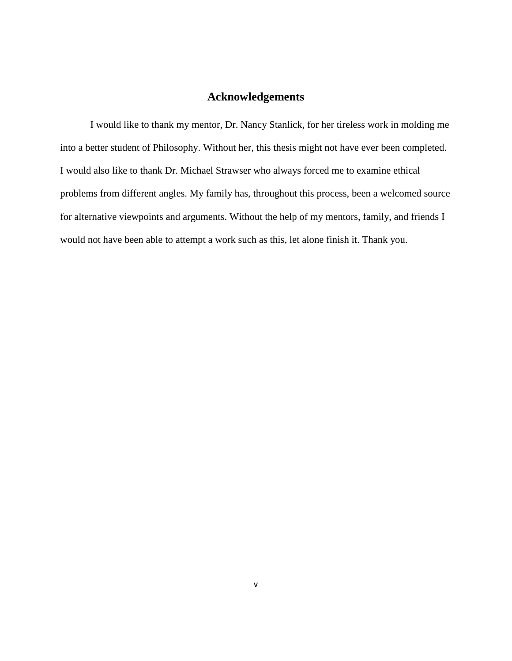## **Acknowledgements**

I would like to thank my mentor, Dr. Nancy Stanlick, for her tireless work in molding me into a better student of Philosophy. Without her, this thesis might not have ever been completed. I would also like to thank Dr. Michael Strawser who always forced me to examine ethical problems from different angles. My family has, throughout this process, been a welcomed source for alternative viewpoints and arguments. Without the help of my mentors, family, and friends I would not have been able to attempt a work such as this, let alone finish it. Thank you.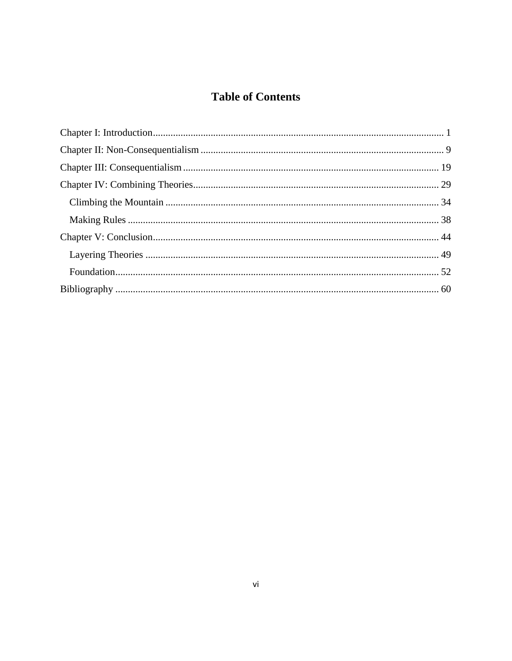# **Table of Contents**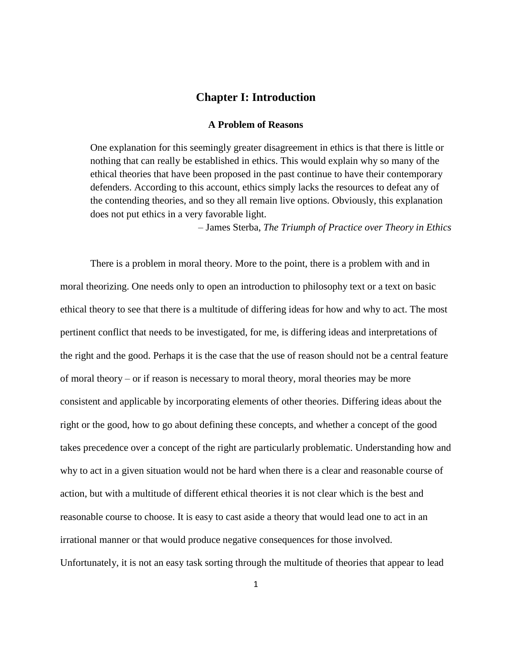## **Chapter I: Introduction**

## **A Problem of Reasons**

<span id="page-7-0"></span>One explanation for this seemingly greater disagreement in ethics is that there is little or nothing that can really be established in ethics. This would explain why so many of the ethical theories that have been proposed in the past continue to have their contemporary defenders. According to this account, ethics simply lacks the resources to defeat any of the contending theories, and so they all remain live options. Obviously, this explanation does not put ethics in a very favorable light.

– James Sterba, *The Triumph of Practice over Theory in Ethics*

There is a problem in moral theory. More to the point, there is a problem with and in moral theorizing. One needs only to open an introduction to philosophy text or a text on basic ethical theory to see that there is a multitude of differing ideas for how and why to act. The most pertinent conflict that needs to be investigated, for me, is differing ideas and interpretations of the right and the good. Perhaps it is the case that the use of reason should not be a central feature of moral theory – or if reason is necessary to moral theory, moral theories may be more consistent and applicable by incorporating elements of other theories. Differing ideas about the right or the good, how to go about defining these concepts, and whether a concept of the good takes precedence over a concept of the right are particularly problematic. Understanding how and why to act in a given situation would not be hard when there is a clear and reasonable course of action, but with a multitude of different ethical theories it is not clear which is the best and reasonable course to choose. It is easy to cast aside a theory that would lead one to act in an irrational manner or that would produce negative consequences for those involved. Unfortunately, it is not an easy task sorting through the multitude of theories that appear to lead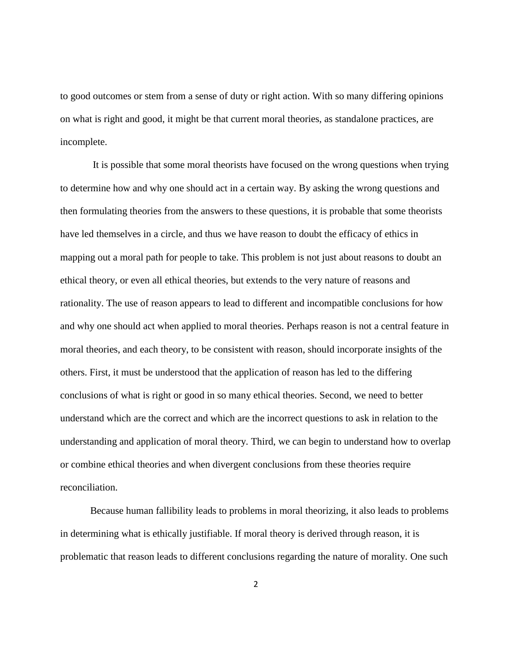to good outcomes or stem from a sense of duty or right action. With so many differing opinions on what is right and good, it might be that current moral theories, as standalone practices, are incomplete.

It is possible that some moral theorists have focused on the wrong questions when trying to determine how and why one should act in a certain way. By asking the wrong questions and then formulating theories from the answers to these questions, it is probable that some theorists have led themselves in a circle, and thus we have reason to doubt the efficacy of ethics in mapping out a moral path for people to take. This problem is not just about reasons to doubt an ethical theory, or even all ethical theories, but extends to the very nature of reasons and rationality. The use of reason appears to lead to different and incompatible conclusions for how and why one should act when applied to moral theories. Perhaps reason is not a central feature in moral theories, and each theory, to be consistent with reason, should incorporate insights of the others. First, it must be understood that the application of reason has led to the differing conclusions of what is right or good in so many ethical theories. Second, we need to better understand which are the correct and which are the incorrect questions to ask in relation to the understanding and application of moral theory. Third, we can begin to understand how to overlap or combine ethical theories and when divergent conclusions from these theories require reconciliation.

Because human fallibility leads to problems in moral theorizing, it also leads to problems in determining what is ethically justifiable. If moral theory is derived through reason, it is problematic that reason leads to different conclusions regarding the nature of morality. One such

2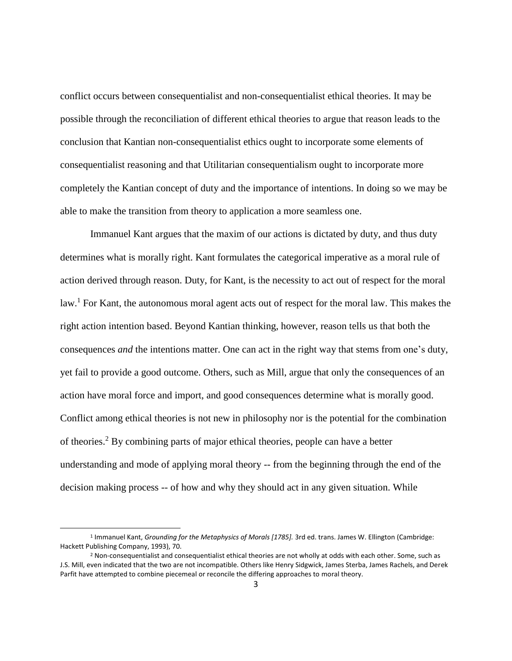conflict occurs between consequentialist and non-consequentialist ethical theories. It may be possible through the reconciliation of different ethical theories to argue that reason leads to the conclusion that Kantian non-consequentialist ethics ought to incorporate some elements of consequentialist reasoning and that Utilitarian consequentialism ought to incorporate more completely the Kantian concept of duty and the importance of intentions. In doing so we may be able to make the transition from theory to application a more seamless one.

Immanuel Kant argues that the maxim of our actions is dictated by duty, and thus duty determines what is morally right. Kant formulates the categorical imperative as a moral rule of action derived through reason. Duty, for Kant, is the necessity to act out of respect for the moral law.<sup>1</sup> For Kant, the autonomous moral agent acts out of respect for the moral law. This makes the right action intention based. Beyond Kantian thinking, however, reason tells us that both the consequences *and* the intentions matter. One can act in the right way that stems from one's duty, yet fail to provide a good outcome. Others, such as Mill, argue that only the consequences of an action have moral force and import, and good consequences determine what is morally good. Conflict among ethical theories is not new in philosophy nor is the potential for the combination of theories.<sup>2</sup> By combining parts of major ethical theories, people can have a better understanding and mode of applying moral theory -- from the beginning through the end of the decision making process -- of how and why they should act in any given situation. While

<sup>&</sup>lt;sup>1</sup> Immanuel Kant, *Grounding for the Metaphysics of Morals [1785].* 3rd ed. trans. James W. Ellington (Cambridge: Hackett Publishing Company, 1993), 70.

<sup>&</sup>lt;sup>2</sup> Non-consequentialist and consequentialist ethical theories are not wholly at odds with each other. Some, such as J.S. Mill, even indicated that the two are not incompatible. Others like Henry Sidgwick, James Sterba, James Rachels, and Derek Parfit have attempted to combine piecemeal or reconcile the differing approaches to moral theory.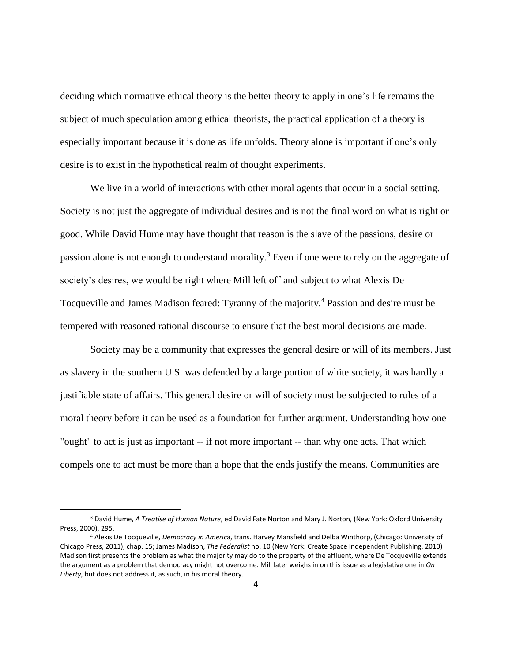deciding which normative ethical theory is the better theory to apply in one's life remains the subject of much speculation among ethical theorists, the practical application of a theory is especially important because it is done as life unfolds. Theory alone is important if one's only desire is to exist in the hypothetical realm of thought experiments.

We live in a world of interactions with other moral agents that occur in a social setting. Society is not just the aggregate of individual desires and is not the final word on what is right or good. While David Hume may have thought that reason is the slave of the passions, desire or passion alone is not enough to understand morality.<sup>3</sup> Even if one were to rely on the aggregate of society's desires, we would be right where Mill left off and subject to what Alexis De Tocqueville and James Madison feared: Tyranny of the majority. <sup>4</sup> Passion and desire must be tempered with reasoned rational discourse to ensure that the best moral decisions are made.

Society may be a community that expresses the general desire or will of its members. Just as slavery in the southern U.S. was defended by a large portion of white society, it was hardly a justifiable state of affairs. This general desire or will of society must be subjected to rules of a moral theory before it can be used as a foundation for further argument. Understanding how one "ought" to act is just as important -- if not more important -- than why one acts. That which compels one to act must be more than a hope that the ends justify the means. Communities are

<sup>3</sup> David Hume, *A Treatise of Human Nature*, ed David Fate Norton and Mary J. Norton, (New York: Oxford University Press, 2000), 295.

<sup>4</sup> Alexis De Tocqueville, *Democracy in Americ*a, trans. Harvey Mansfield and Delba Winthorp, (Chicago: University of Chicago Press, 2011), chap. 15; James Madison, *The Federalist* no. 10 (New York: Create Space Independent Publishing, 2010) Madison first presents the problem as what the majority may do to the property of the affluent, where De Tocqueville extends the argument as a problem that democracy might not overcome. Mill later weighs in on this issue as a legislative one in *On Liberty*, but does not address it, as such, in his moral theory.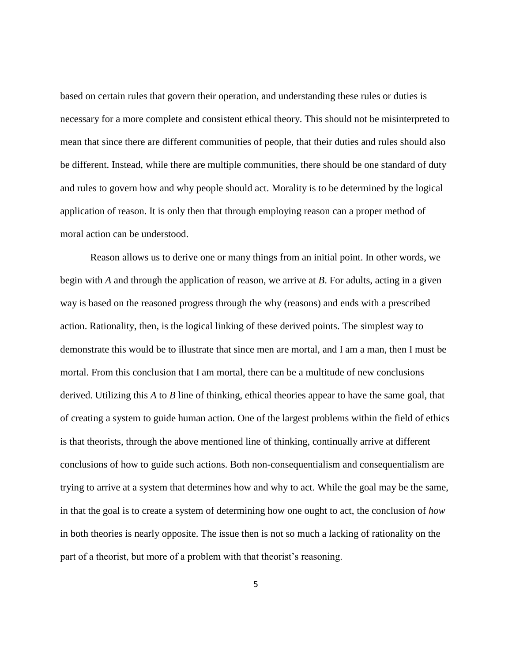based on certain rules that govern their operation, and understanding these rules or duties is necessary for a more complete and consistent ethical theory. This should not be misinterpreted to mean that since there are different communities of people, that their duties and rules should also be different. Instead, while there are multiple communities, there should be one standard of duty and rules to govern how and why people should act. Morality is to be determined by the logical application of reason. It is only then that through employing reason can a proper method of moral action can be understood.

Reason allows us to derive one or many things from an initial point. In other words, we begin with *A* and through the application of reason, we arrive at *B*. For adults, acting in a given way is based on the reasoned progress through the why (reasons) and ends with a prescribed action. Rationality, then, is the logical linking of these derived points. The simplest way to demonstrate this would be to illustrate that since men are mortal, and I am a man, then I must be mortal. From this conclusion that I am mortal, there can be a multitude of new conclusions derived. Utilizing this *A* to *B* line of thinking, ethical theories appear to have the same goal, that of creating a system to guide human action. One of the largest problems within the field of ethics is that theorists, through the above mentioned line of thinking, continually arrive at different conclusions of how to guide such actions. Both non-consequentialism and consequentialism are trying to arrive at a system that determines how and why to act. While the goal may be the same, in that the goal is to create a system of determining how one ought to act, the conclusion of *how* in both theories is nearly opposite. The issue then is not so much a lacking of rationality on the part of a theorist, but more of a problem with that theorist's reasoning.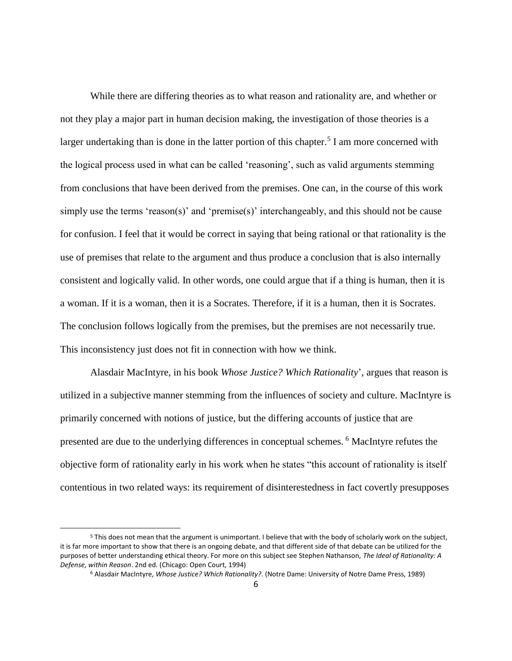While there are differing theories as to what reason and rationality are, and whether or not they play a major part in human decision making, the investigation of those theories is a larger undertaking than is done in the latter portion of this chapter.<sup>5</sup> I am more concerned with the logical process used in what can be called 'reasoning', such as valid arguments stemming from conclusions that have been derived from the premises. One can, in the course of this work simply use the terms 'reason(s)' and 'premise(s)' interchangeably, and this should not be cause for confusion. I feel that it would be correct in saying that being rational or that rationality is the use of premises that relate to the argument and thus produce a conclusion that is also internally consistent and logically valid. In other words, one could argue that if a thing is human, then it is a woman. If it is a woman, then it is a Socrates. Therefore, if it is a human, then it is Socrates. The conclusion follows logically from the premises, but the premises are not necessarily true. This inconsistency just does not fit in connection with how we think.

Alasdair MacIntyre, in his book *Whose Justice? Which Rationality*', argues that reason is utilized in a subjective manner stemming from the influences of society and culture. MacIntyre is primarily concerned with notions of justice, but the differing accounts of justice that are presented are due to the underlying differences in conceptual schemes. <sup>6</sup> MacIntyre refutes the objective form of rationality early in his work when he states "this account of rationality is itself contentious in two related ways: its requirement of disinterestedness in fact covertly presupposes

<sup>5</sup> This does not mean that the argument is unimportant. I believe that with the body of scholarly work on the subject, it is far more important to show that there is an ongoing debate, and that different side of that debate can be utilized for the purposes of better understanding ethical theory. For more on this subject see Stephen Nathanson, *The Ideal of Rationality: A Defense, within Reason*. 2nd ed. (Chicago: Open Court, 1994)

<sup>6</sup> Alasdair MacIntyre, *Whose Justice? Which Rationality?*. (Notre Dame: University of Notre Dame Press, 1989)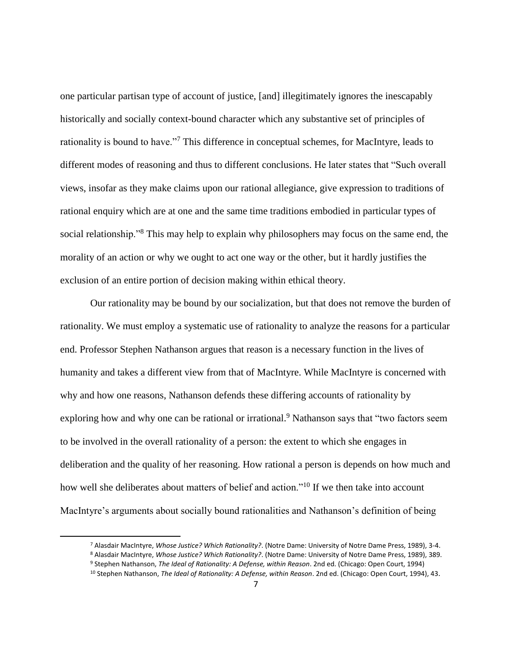one particular partisan type of account of justice, [and] illegitimately ignores the inescapably historically and socially context-bound character which any substantive set of principles of rationality is bound to have."<sup>7</sup> This difference in conceptual schemes, for MacIntyre, leads to different modes of reasoning and thus to different conclusions. He later states that "Such overall views, insofar as they make claims upon our rational allegiance, give expression to traditions of rational enquiry which are at one and the same time traditions embodied in particular types of social relationship."<sup>8</sup> This may help to explain why philosophers may focus on the same end, the morality of an action or why we ought to act one way or the other, but it hardly justifies the exclusion of an entire portion of decision making within ethical theory.

Our rationality may be bound by our socialization, but that does not remove the burden of rationality. We must employ a systematic use of rationality to analyze the reasons for a particular end. Professor Stephen Nathanson argues that reason is a necessary function in the lives of humanity and takes a different view from that of MacIntyre. While MacIntyre is concerned with why and how one reasons, Nathanson defends these differing accounts of rationality by exploring how and why one can be rational or irrational.<sup>9</sup> Nathanson says that "two factors seem to be involved in the overall rationality of a person: the extent to which she engages in deliberation and the quality of her reasoning. How rational a person is depends on how much and how well she deliberates about matters of belief and action."<sup>10</sup> If we then take into account MacIntyre's arguments about socially bound rationalities and Nathanson's definition of being

<sup>7</sup> Alasdair MacIntyre, *Whose Justice? Which Rationality?*. (Notre Dame: University of Notre Dame Press, 1989), 3-4.

<sup>8</sup> Alasdair MacIntyre, *Whose Justice? Which Rationality?*. (Notre Dame: University of Notre Dame Press, 1989), 389.

<sup>9</sup> Stephen Nathanson, *The Ideal of Rationality: A Defense, within Reason*. 2nd ed. (Chicago: Open Court, 1994)

<sup>10</sup> Stephen Nathanson, *The Ideal of Rationality: A Defense, within Reason*. 2nd ed. (Chicago: Open Court, 1994), 43.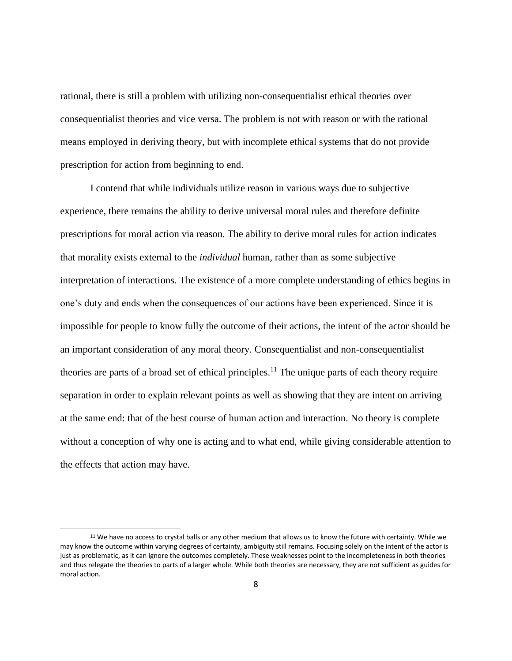rational, there is still a problem with utilizing non-consequentialist ethical theories over consequentialist theories and vice versa. The problem is not with reason or with the rational means employed in deriving theory, but with incomplete ethical systems that do not provide prescription for action from beginning to end.

I contend that while individuals utilize reason in various ways due to subjective experience, there remains the ability to derive universal moral rules and therefore definite prescriptions for moral action via reason. The ability to derive moral rules for action indicates that morality exists external to the *individual* human, rather than as some subjective interpretation of interactions. The existence of a more complete understanding of ethics begins in one's duty and ends when the consequences of our actions have been experienced. Since it is impossible for people to know fully the outcome of their actions, the intent of the actor should be an important consideration of any moral theory. Consequentialist and non-consequentialist theories are parts of a broad set of ethical principles.<sup>11</sup> The unique parts of each theory require separation in order to explain relevant points as well as showing that they are intent on arriving at the same end: that of the best course of human action and interaction. No theory is complete without a conception of why one is acting and to what end, while giving considerable attention to the effects that action may have.

<sup>&</sup>lt;sup>11</sup> We have no access to crystal balls or any other medium that allows us to know the future with certainty. While we may know the outcome within varying degrees of certainty, ambiguity still remains. Focusing solely on the intent of the actor is just as problematic, as it can ignore the outcomes completely. These weaknesses point to the incompleteness in both theories and thus relegate the theories to parts of a larger whole. While both theories are necessary, they are not sufficient as guides for moral action.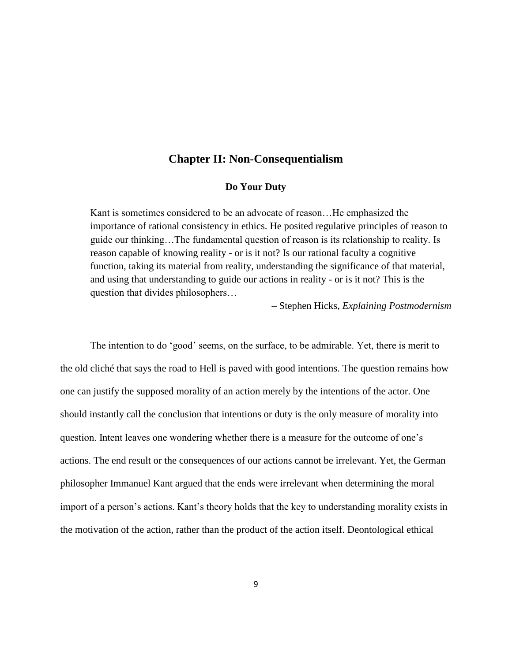## **Chapter II: Non-Consequentialism**

#### **Do Your Duty**

<span id="page-15-0"></span>Kant is sometimes considered to be an advocate of reason...He emphasized the importance of rational consistency in ethics. He posited regulative principles of reason to guide our thinking…The fundamental question of reason is its relationship to reality. Is reason capable of knowing reality - or is it not? Is our rational faculty a cognitive function, taking its material from reality, understanding the significance of that material, and using that understanding to guide our actions in reality - or is it not? This is the question that divides philosophers…

– Stephen Hicks, *Explaining Postmodernism*

The intention to do 'good' seems, on the surface, to be admirable. Yet, there is merit to the old cliché that says the road to Hell is paved with good intentions. The question remains how one can justify the supposed morality of an action merely by the intentions of the actor. One should instantly call the conclusion that intentions or duty is the only measure of morality into question. Intent leaves one wondering whether there is a measure for the outcome of one's actions. The end result or the consequences of our actions cannot be irrelevant. Yet, the German philosopher Immanuel Kant argued that the ends were irrelevant when determining the moral import of a person's actions. Kant's theory holds that the key to understanding morality exists in the motivation of the action, rather than the product of the action itself. Deontological ethical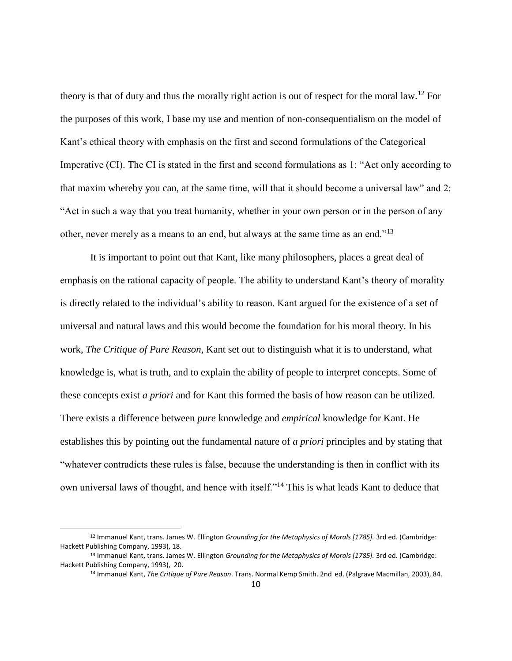theory is that of duty and thus the morally right action is out of respect for the moral law.<sup>12</sup> For the purposes of this work, I base my use and mention of non-consequentialism on the model of Kant's ethical theory with emphasis on the first and second formulations of the Categorical Imperative (CI). The CI is stated in the first and second formulations as 1: "Act only according to that maxim whereby you can, at the same time, will that it should become a universal law" and 2: "Act in such a way that you treat humanity, whether in your own person or in the person of any other, never merely as a means to an end, but always at the same time as an end."<sup>13</sup>

It is important to point out that Kant, like many philosophers, places a great deal of emphasis on the rational capacity of people. The ability to understand Kant's theory of morality is directly related to the individual's ability to reason. Kant argued for the existence of a set of universal and natural laws and this would become the foundation for his moral theory. In his work, *The Critique of Pure Reason*, Kant set out to distinguish what it is to understand, what knowledge is, what is truth, and to explain the ability of people to interpret concepts. Some of these concepts exist *a priori* and for Kant this formed the basis of how reason can be utilized. There exists a difference between *pure* knowledge and *empirical* knowledge for Kant. He establishes this by pointing out the fundamental nature of *a priori* principles and by stating that "whatever contradicts these rules is false, because the understanding is then in conflict with its own universal laws of thought, and hence with itself."<sup>14</sup> This is what leads Kant to deduce that

<sup>12</sup> Immanuel Kant, trans. James W. Ellington *Grounding for the Metaphysics of Morals [1785].* 3rd ed. (Cambridge: Hackett Publishing Company, 1993), 18.

<sup>13</sup> Immanuel Kant, trans. James W. Ellington *Grounding for the Metaphysics of Morals [1785].* 3rd ed. (Cambridge: Hackett Publishing Company, 1993), 20.

<sup>14</sup> Immanuel Kant, *The Critique of Pure Reason*. Trans. Normal Kemp Smith. 2nd ed. (Palgrave Macmillan, 2003), 84.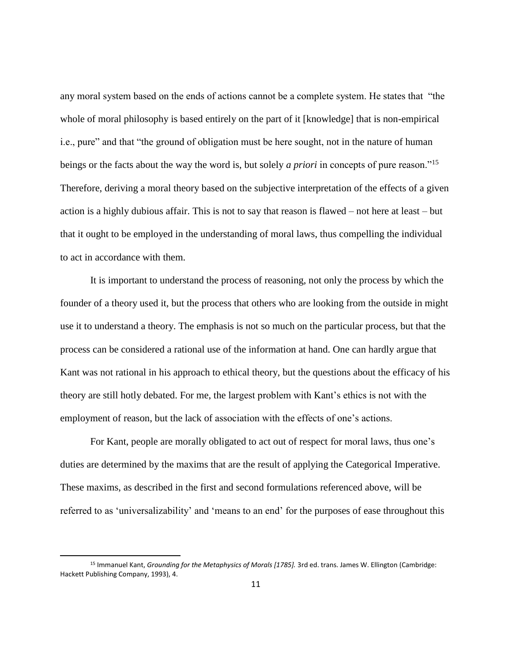any moral system based on the ends of actions cannot be a complete system. He states that "the whole of moral philosophy is based entirely on the part of it [knowledge] that is non-empirical i.e., pure" and that "the ground of obligation must be here sought, not in the nature of human beings or the facts about the way the word is, but solely *a priori* in concepts of pure reason."<sup>15</sup> Therefore, deriving a moral theory based on the subjective interpretation of the effects of a given action is a highly dubious affair. This is not to say that reason is flawed – not here at least – but that it ought to be employed in the understanding of moral laws, thus compelling the individual to act in accordance with them.

It is important to understand the process of reasoning, not only the process by which the founder of a theory used it, but the process that others who are looking from the outside in might use it to understand a theory. The emphasis is not so much on the particular process, but that the process can be considered a rational use of the information at hand. One can hardly argue that Kant was not rational in his approach to ethical theory, but the questions about the efficacy of his theory are still hotly debated. For me, the largest problem with Kant's ethics is not with the employment of reason, but the lack of association with the effects of one's actions.

For Kant, people are morally obligated to act out of respect for moral laws, thus one's duties are determined by the maxims that are the result of applying the Categorical Imperative. These maxims, as described in the first and second formulations referenced above, will be referred to as 'universalizability' and 'means to an end' for the purposes of ease throughout this

 $\overline{a}$ 

<sup>15</sup> Immanuel Kant, *Grounding for the Metaphysics of Morals [1785].* 3rd ed. trans. James W. Ellington (Cambridge: Hackett Publishing Company, 1993), 4.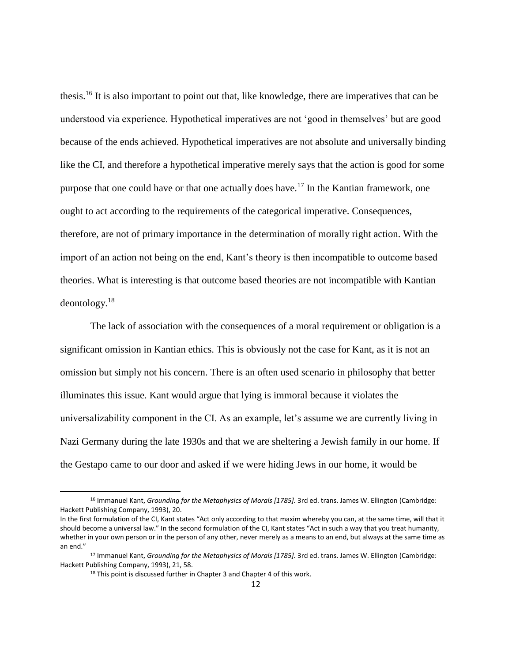thesis.<sup>16</sup> It is also important to point out that, like knowledge, there are imperatives that can be understood via experience. Hypothetical imperatives are not 'good in themselves' but are good because of the ends achieved. Hypothetical imperatives are not absolute and universally binding like the CI, and therefore a hypothetical imperative merely says that the action is good for some purpose that one could have or that one actually does have.<sup>17</sup> In the Kantian framework, one ought to act according to the requirements of the categorical imperative. Consequences, therefore, are not of primary importance in the determination of morally right action. With the import of an action not being on the end, Kant's theory is then incompatible to outcome based theories. What is interesting is that outcome based theories are not incompatible with Kantian deontology.<sup>18</sup>

The lack of association with the consequences of a moral requirement or obligation is a significant omission in Kantian ethics. This is obviously not the case for Kant, as it is not an omission but simply not his concern. There is an often used scenario in philosophy that better illuminates this issue. Kant would argue that lying is immoral because it violates the universalizability component in the CI. As an example, let's assume we are currently living in Nazi Germany during the late 1930s and that we are sheltering a Jewish family in our home. If the Gestapo came to our door and asked if we were hiding Jews in our home, it would be

<sup>16</sup> Immanuel Kant, *Grounding for the Metaphysics of Morals [1785].* 3rd ed. trans. James W. Ellington (Cambridge: Hackett Publishing Company, 1993), 20.

In the first formulation of the CI, Kant states "Act only according to that maxim whereby you can, at the same time, will that it should become a universal law." In the second formulation of the CI, Kant states "Act in such a way that you treat humanity, whether in your own person or in the person of any other, never merely as a means to an end, but always at the same time as an end."

<sup>17</sup> Immanuel Kant, *Grounding for the Metaphysics of Morals [1785].* 3rd ed. trans. James W. Ellington (Cambridge: Hackett Publishing Company, 1993), 21, 58.

<sup>&</sup>lt;sup>18</sup> This point is discussed further in Chapter 3 and Chapter 4 of this work.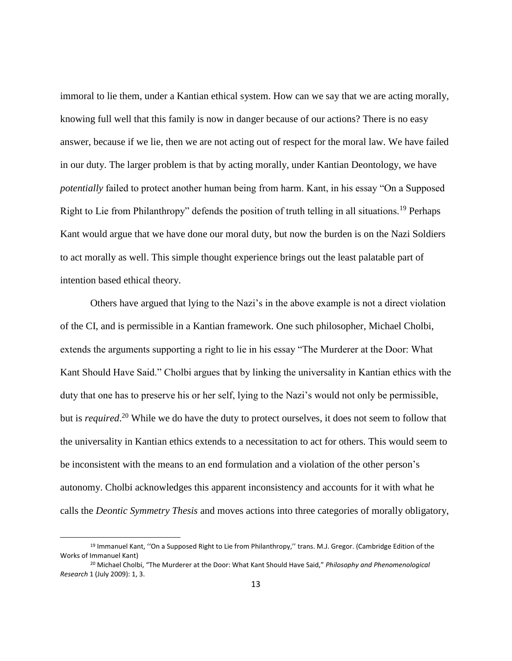immoral to lie them, under a Kantian ethical system. How can we say that we are acting morally, knowing full well that this family is now in danger because of our actions? There is no easy answer, because if we lie, then we are not acting out of respect for the moral law. We have failed in our duty. The larger problem is that by acting morally, under Kantian Deontology, we have *potentially* failed to protect another human being from harm. Kant, in his essay "On a Supposed Right to Lie from Philanthropy" defends the position of truth telling in all situations.<sup>19</sup> Perhaps Kant would argue that we have done our moral duty, but now the burden is on the Nazi Soldiers to act morally as well. This simple thought experience brings out the least palatable part of intention based ethical theory.

Others have argued that lying to the Nazi's in the above example is not a direct violation of the CI, and is permissible in a Kantian framework. One such philosopher, Michael Cholbi, extends the arguments supporting a right to lie in his essay "The Murderer at the Door: What Kant Should Have Said." Cholbi argues that by linking the universality in Kantian ethics with the duty that one has to preserve his or her self, lying to the Nazi's would not only be permissible, but is *required*. <sup>20</sup> While we do have the duty to protect ourselves, it does not seem to follow that the universality in Kantian ethics extends to a necessitation to act for others. This would seem to be inconsistent with the means to an end formulation and a violation of the other person's autonomy. Cholbi acknowledges this apparent inconsistency and accounts for it with what he calls the *Deontic Symmetry Thesis* and moves actions into three categories of morally obligatory,

<sup>&</sup>lt;sup>19</sup> Immanuel Kant, "On a Supposed Right to Lie from Philanthropy," trans. M.J. Gregor. (Cambridge Edition of the Works of Immanuel Kant)

<sup>20</sup> Michael Cholbi, "The Murderer at the Door: What Kant Should Have Said," *Philosophy and Phenomenological Research* 1 (July 2009): 1, 3.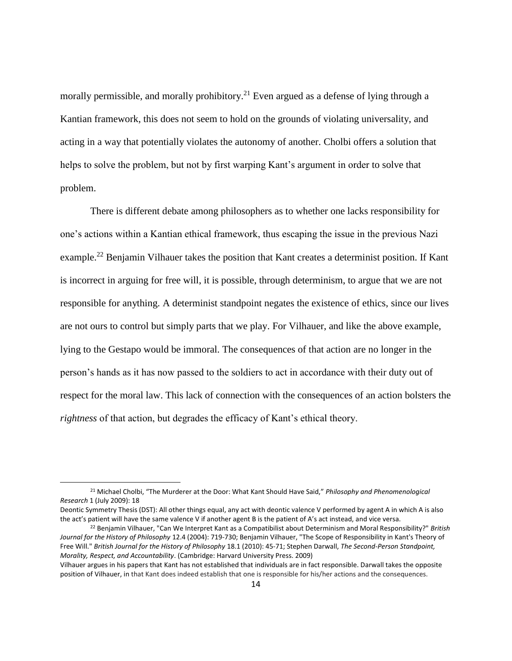morally permissible, and morally prohibitory.<sup>21</sup> Even argued as a defense of lying through a Kantian framework, this does not seem to hold on the grounds of violating universality, and acting in a way that potentially violates the autonomy of another. Cholbi offers a solution that helps to solve the problem, but not by first warping Kant's argument in order to solve that problem.

There is different debate among philosophers as to whether one lacks responsibility for one's actions within a Kantian ethical framework, thus escaping the issue in the previous Nazi example.<sup>22</sup> Benjamin Vilhauer takes the position that Kant creates a determinist position. If Kant is incorrect in arguing for free will, it is possible, through determinism, to argue that we are not responsible for anything. A determinist standpoint negates the existence of ethics, since our lives are not ours to control but simply parts that we play. For Vilhauer, and like the above example, lying to the Gestapo would be immoral. The consequences of that action are no longer in the person's hands as it has now passed to the soldiers to act in accordance with their duty out of respect for the moral law. This lack of connection with the consequences of an action bolsters the *rightness* of that action, but degrades the efficacy of Kant's ethical theory.

<sup>21</sup> Michael Cholbi, "The Murderer at the Door: What Kant Should Have Said," *Philosophy and Phenomenological Research* 1 (July 2009): 18

Deontic Symmetry Thesis (DST): All other things equal, any act with deontic valence V performed by agent A in which A is also the act's patient will have the same valence V if another agent B is the patient of A's act instead, and vice versa.

<sup>22</sup> Benjamin Vilhauer, "Can We Interpret Kant as a Compatibilist about Determinism and Moral Responsibility?" *British Journal for the History of Philosophy* 12.4 (2004): 719-730; Benjamin Vilhauer, "The Scope of Responsibility in Kant's Theory of Free Will." *British Journal for the History of Philosophy* 18.1 (2010): 45-71; Stephen Darwall, *The Second-Person Standpoint, Morality, Respect, and Accountability*. (Cambridge: Harvard University Press. 2009)

Vilhauer argues in his papers that Kant has not established that individuals are in fact responsible. Darwall takes the opposite position of Vilhauer, in that Kant does indeed establish that one is responsible for his/her actions and the consequences.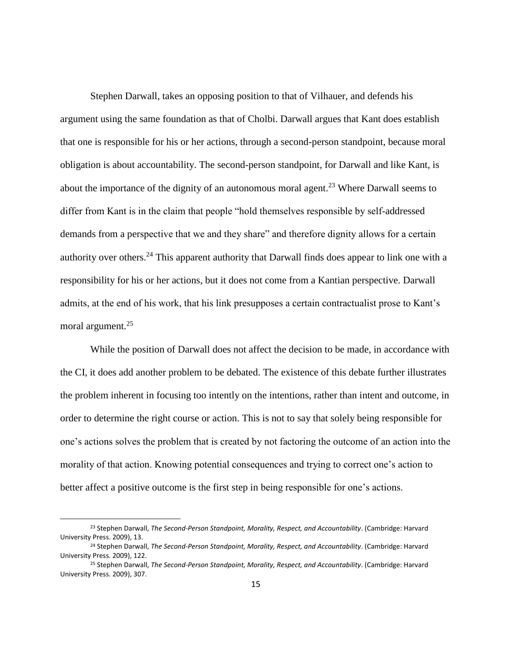Stephen Darwall, takes an opposing position to that of Vilhauer, and defends his argument using the same foundation as that of Cholbi. Darwall argues that Kant does establish that one is responsible for his or her actions, through a second-person standpoint, because moral obligation is about accountability. The second-person standpoint, for Darwall and like Kant, is about the importance of the dignity of an autonomous moral agent.<sup>23</sup> Where Darwall seems to differ from Kant is in the claim that people "hold themselves responsible by self-addressed demands from a perspective that we and they share" and therefore dignity allows for a certain authority over others.<sup>24</sup> This apparent authority that Darwall finds does appear to link one with a responsibility for his or her actions, but it does not come from a Kantian perspective. Darwall admits, at the end of his work, that his link presupposes a certain contractualist prose to Kant's moral argument.<sup>25</sup>

While the position of Darwall does not affect the decision to be made, in accordance with the CI, it does add another problem to be debated. The existence of this debate further illustrates the problem inherent in focusing too intently on the intentions, rather than intent and outcome, in order to determine the right course or action. This is not to say that solely being responsible for one's actions solves the problem that is created by not factoring the outcome of an action into the morality of that action. Knowing potential consequences and trying to correct one's action to better affect a positive outcome is the first step in being responsible for one's actions.

<sup>23</sup> Stephen Darwall, *The Second-Person Standpoint, Morality, Respect, and Accountability*. (Cambridge: Harvard University Press. 2009), 13.

<sup>24</sup> Stephen Darwall, *The Second-Person Standpoint, Morality, Respect, and Accountability*. (Cambridge: Harvard University Press. 2009), 122.

<sup>25</sup> Stephen Darwall, *The Second-Person Standpoint, Morality, Respect, and Accountability*. (Cambridge: Harvard University Press. 2009), 307.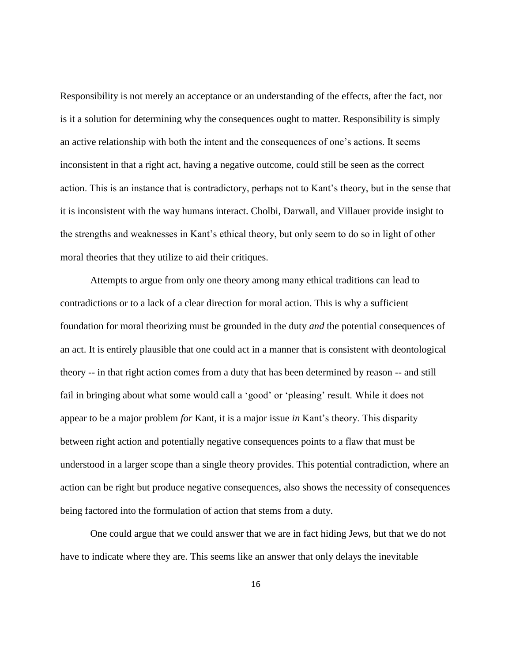Responsibility is not merely an acceptance or an understanding of the effects, after the fact, nor is it a solution for determining why the consequences ought to matter. Responsibility is simply an active relationship with both the intent and the consequences of one's actions. It seems inconsistent in that a right act, having a negative outcome, could still be seen as the correct action. This is an instance that is contradictory, perhaps not to Kant's theory, but in the sense that it is inconsistent with the way humans interact. Cholbi, Darwall, and Villauer provide insight to the strengths and weaknesses in Kant's ethical theory, but only seem to do so in light of other moral theories that they utilize to aid their critiques.

Attempts to argue from only one theory among many ethical traditions can lead to contradictions or to a lack of a clear direction for moral action. This is why a sufficient foundation for moral theorizing must be grounded in the duty *and* the potential consequences of an act. It is entirely plausible that one could act in a manner that is consistent with deontological theory -- in that right action comes from a duty that has been determined by reason -- and still fail in bringing about what some would call a 'good' or 'pleasing' result. While it does not appear to be a major problem *for* Kant, it is a major issue *in* Kant's theory. This disparity between right action and potentially negative consequences points to a flaw that must be understood in a larger scope than a single theory provides. This potential contradiction, where an action can be right but produce negative consequences, also shows the necessity of consequences being factored into the formulation of action that stems from a duty.

One could argue that we could answer that we are in fact hiding Jews, but that we do not have to indicate where they are. This seems like an answer that only delays the inevitable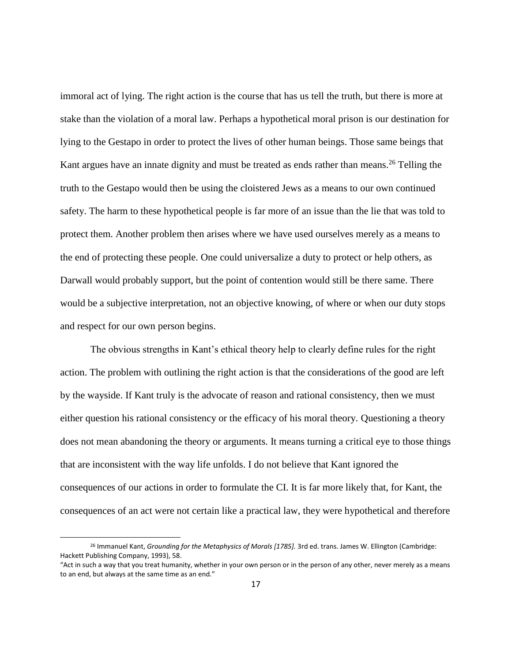immoral act of lying. The right action is the course that has us tell the truth, but there is more at stake than the violation of a moral law. Perhaps a hypothetical moral prison is our destination for lying to the Gestapo in order to protect the lives of other human beings. Those same beings that Kant argues have an innate dignity and must be treated as ends rather than means.<sup>26</sup> Telling the truth to the Gestapo would then be using the cloistered Jews as a means to our own continued safety. The harm to these hypothetical people is far more of an issue than the lie that was told to protect them. Another problem then arises where we have used ourselves merely as a means to the end of protecting these people. One could universalize a duty to protect or help others, as Darwall would probably support, but the point of contention would still be there same. There would be a subjective interpretation, not an objective knowing, of where or when our duty stops and respect for our own person begins.

The obvious strengths in Kant's ethical theory help to clearly define rules for the right action. The problem with outlining the right action is that the considerations of the good are left by the wayside. If Kant truly is the advocate of reason and rational consistency, then we must either question his rational consistency or the efficacy of his moral theory. Questioning a theory does not mean abandoning the theory or arguments. It means turning a critical eye to those things that are inconsistent with the way life unfolds. I do not believe that Kant ignored the consequences of our actions in order to formulate the CI. It is far more likely that, for Kant, the consequences of an act were not certain like a practical law, they were hypothetical and therefore

<sup>26</sup> Immanuel Kant, *Grounding for the Metaphysics of Morals [1785].* 3rd ed. trans. James W. Ellington (Cambridge: Hackett Publishing Company, 1993), 58.

<sup>&</sup>quot;Act in such a way that you treat humanity, whether in your own person or in the person of any other, never merely as a means to an end, but always at the same time as an end."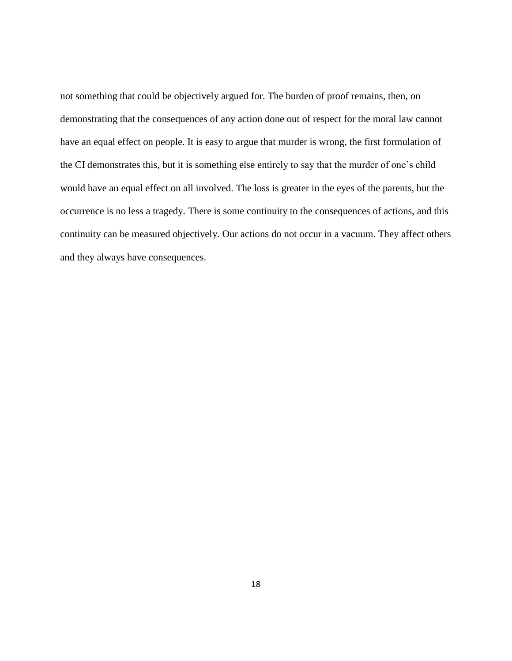not something that could be objectively argued for. The burden of proof remains, then, on demonstrating that the consequences of any action done out of respect for the moral law cannot have an equal effect on people. It is easy to argue that murder is wrong, the first formulation of the CI demonstrates this, but it is something else entirely to say that the murder of one's child would have an equal effect on all involved. The loss is greater in the eyes of the parents, but the occurrence is no less a tragedy. There is some continuity to the consequences of actions, and this continuity can be measured objectively. Our actions do not occur in a vacuum. They affect others and they always have consequences.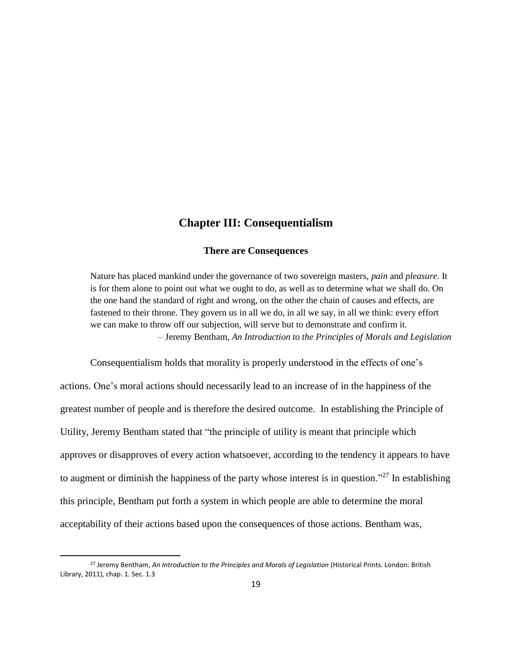## **Chapter III: Consequentialism**

#### **There are Consequences**

<span id="page-25-0"></span>Nature has placed mankind under the governance of two sovereign masters, *pain* and *pleasure.* It is for them alone to point out what we ought to do, as well as to determine what we shall do. On the one hand the standard of right and wrong, on the other the chain of causes and effects, are fastened to their throne. They govern us in all we do, in all we say, in all we think: every effort we can make to throw off our subjection, will serve but to demonstrate and confirm it. – Jeremy Bentham, *An Introduction to the Principles of Morals and Legislation*

Consequentialism holds that morality is properly understood in the effects of one's actions. One's moral actions should necessarily lead to an increase of in the happiness of the greatest number of people and is therefore the desired outcome. In establishing the Principle of Utility, Jeremy Bentham stated that "the principle of utility is meant that principle which approves or disapproves of every action whatsoever, according to the tendency it appears to have to augment or diminish the happiness of the party whose interest is in question."<sup>27</sup> In establishing this principle, Bentham put forth a system in which people are able to determine the moral acceptability of their actions based upon the consequences of those actions. Bentham was,

 $\overline{a}$ 

<sup>27</sup> Jeremy Bentham, *An Introduction to the Principles and Morals of Legislation* (Historical Prints. London: British Library, 2011), chap. 1. Sec. 1.3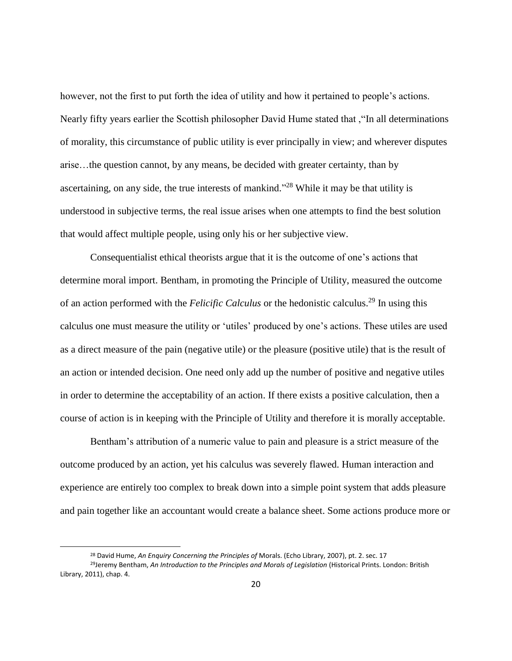however, not the first to put forth the idea of utility and how it pertained to people's actions. Nearly fifty years earlier the Scottish philosopher David Hume stated that ,"In all determinations of morality, this circumstance of public utility is ever principally in view; and wherever disputes arise…the question cannot, by any means, be decided with greater certainty, than by ascertaining, on any side, the true interests of mankind."<sup>28</sup> While it may be that utility is understood in subjective terms, the real issue arises when one attempts to find the best solution that would affect multiple people, using only his or her subjective view.

Consequentialist ethical theorists argue that it is the outcome of one's actions that determine moral import. Bentham, in promoting the Principle of Utility, measured the outcome of an action performed with the *Felicific Calculus* or the hedonistic calculus.<sup>29</sup> In using this calculus one must measure the utility or 'utiles' produced by one's actions. These utiles are used as a direct measure of the pain (negative utile) or the pleasure (positive utile) that is the result of an action or intended decision. One need only add up the number of positive and negative utiles in order to determine the acceptability of an action. If there exists a positive calculation, then a course of action is in keeping with the Principle of Utility and therefore it is morally acceptable.

Bentham's attribution of a numeric value to pain and pleasure is a strict measure of the outcome produced by an action, yet his calculus was severely flawed. Human interaction and experience are entirely too complex to break down into a simple point system that adds pleasure and pain together like an accountant would create a balance sheet. Some actions produce more or

<sup>28</sup> David Hume, *An Enquiry Concerning the Principles of* Morals. (Echo Library, 2007), pt. 2. sec. 17

<sup>29</sup>Jeremy Bentham, *An Introduction to the Principles and Morals of Legislation* (Historical Prints. London: British Library, 2011), chap. 4.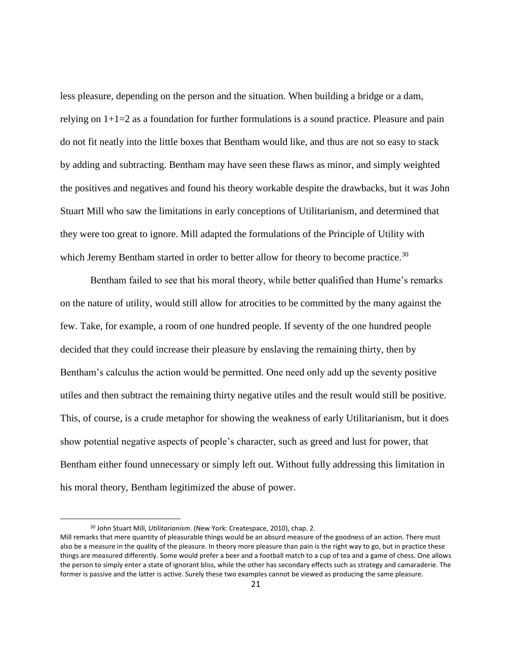less pleasure, depending on the person and the situation. When building a bridge or a dam, relying on  $1+1=2$  as a foundation for further formulations is a sound practice. Pleasure and pain do not fit neatly into the little boxes that Bentham would like, and thus are not so easy to stack by adding and subtracting. Bentham may have seen these flaws as minor, and simply weighted the positives and negatives and found his theory workable despite the drawbacks, but it was John Stuart Mill who saw the limitations in early conceptions of Utilitarianism, and determined that they were too great to ignore. Mill adapted the formulations of the Principle of Utility with which Jeremy Bentham started in order to better allow for theory to become practice.<sup>30</sup>

Bentham failed to see that his moral theory, while better qualified than Hume's remarks on the nature of utility, would still allow for atrocities to be committed by the many against the few. Take, for example, a room of one hundred people. If seventy of the one hundred people decided that they could increase their pleasure by enslaving the remaining thirty, then by Bentham's calculus the action would be permitted. One need only add up the seventy positive utiles and then subtract the remaining thirty negative utiles and the result would still be positive. This, of course, is a crude metaphor for showing the weakness of early Utilitarianism, but it does show potential negative aspects of people's character, such as greed and lust for power, that Bentham either found unnecessary or simply left out. Without fully addressing this limitation in his moral theory, Bentham legitimized the abuse of power.

<sup>30</sup> John Stuart Mill, *Utilitarianism*. (New York: Createspace, 2010), chap. 2.

Mill remarks that mere quantity of pleasurable things would be an absurd measure of the goodness of an action. There must also be a measure in the quality of the pleasure. In theory more pleasure than pain is the right way to go, but in practice these things are measured differently. Some would prefer a beer and a football match to a cup of tea and a game of chess. One allows the person to simply enter a state of ignorant bliss, while the other has secondary effects such as strategy and camaraderie. The former is passive and the latter is active. Surely these two examples cannot be viewed as producing the same pleasure.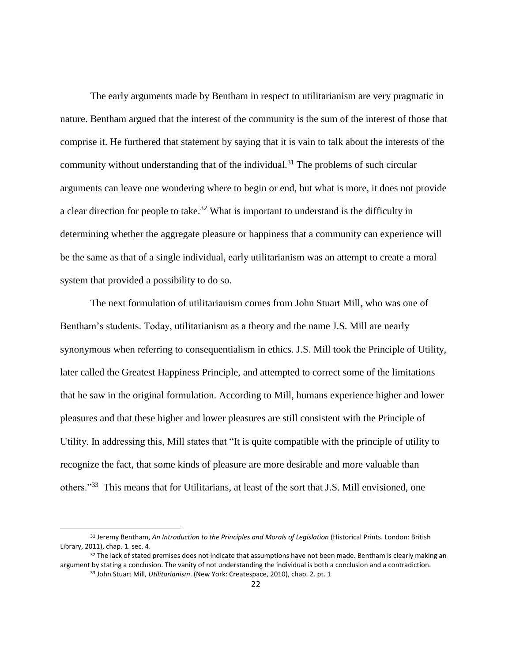The early arguments made by Bentham in respect to utilitarianism are very pragmatic in nature. Bentham argued that the interest of the community is the sum of the interest of those that comprise it. He furthered that statement by saying that it is vain to talk about the interests of the community without understanding that of the individual.<sup>31</sup> The problems of such circular arguments can leave one wondering where to begin or end, but what is more, it does not provide a clear direction for people to take.<sup>32</sup> What is important to understand is the difficulty in determining whether the aggregate pleasure or happiness that a community can experience will be the same as that of a single individual, early utilitarianism was an attempt to create a moral system that provided a possibility to do so.

The next formulation of utilitarianism comes from John Stuart Mill, who was one of Bentham's students. Today, utilitarianism as a theory and the name J.S. Mill are nearly synonymous when referring to consequentialism in ethics. J.S. Mill took the Principle of Utility, later called the Greatest Happiness Principle, and attempted to correct some of the limitations that he saw in the original formulation. According to Mill, humans experience higher and lower pleasures and that these higher and lower pleasures are still consistent with the Principle of Utility. In addressing this, Mill states that "It is quite compatible with the principle of utility to recognize the fact, that some kinds of pleasure are more desirable and more valuable than others."<sup>33</sup> This means that for Utilitarians, at least of the sort that J.S. Mill envisioned, one

<sup>31</sup> Jeremy Bentham, *An Introduction to the Principles and Morals of Legislation* (Historical Prints. London: British Library, 2011), chap. 1. sec. 4.

 $32$  The lack of stated premises does not indicate that assumptions have not been made. Bentham is clearly making an argument by stating a conclusion. The vanity of not understanding the individual is both a conclusion and a contradiction. <sup>33</sup> John Stuart Mill, *Utilitarianism*. (New York: Createspace, 2010), chap. 2. pt. 1

<sup>22</sup>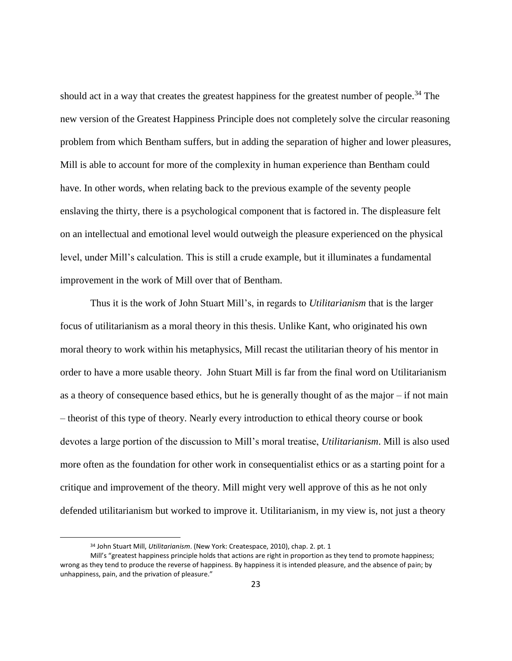should act in a way that creates the greatest happiness for the greatest number of people.<sup>34</sup> The new version of the Greatest Happiness Principle does not completely solve the circular reasoning problem from which Bentham suffers, but in adding the separation of higher and lower pleasures, Mill is able to account for more of the complexity in human experience than Bentham could have. In other words, when relating back to the previous example of the seventy people enslaving the thirty, there is a psychological component that is factored in. The displeasure felt on an intellectual and emotional level would outweigh the pleasure experienced on the physical level, under Mill's calculation. This is still a crude example, but it illuminates a fundamental improvement in the work of Mill over that of Bentham.

Thus it is the work of John Stuart Mill's, in regards to *Utilitarianism* that is the larger focus of utilitarianism as a moral theory in this thesis. Unlike Kant, who originated his own moral theory to work within his metaphysics, Mill recast the utilitarian theory of his mentor in order to have a more usable theory. John Stuart Mill is far from the final word on Utilitarianism as a theory of consequence based ethics, but he is generally thought of as the major – if not main – theorist of this type of theory. Nearly every introduction to ethical theory course or book devotes a large portion of the discussion to Mill's moral treatise, *Utilitarianism*. Mill is also used more often as the foundation for other work in consequentialist ethics or as a starting point for a critique and improvement of the theory. Mill might very well approve of this as he not only defended utilitarianism but worked to improve it. Utilitarianism, in my view is, not just a theory

<sup>34</sup> John Stuart Mill, *Utilitarianism*. (New York: Createspace, 2010), chap. 2. pt. 1

Mill's "greatest happiness principle holds that actions are right in proportion as they tend to promote happiness; wrong as they tend to produce the reverse of happiness. By happiness it is intended pleasure, and the absence of pain; by unhappiness, pain, and the privation of pleasure."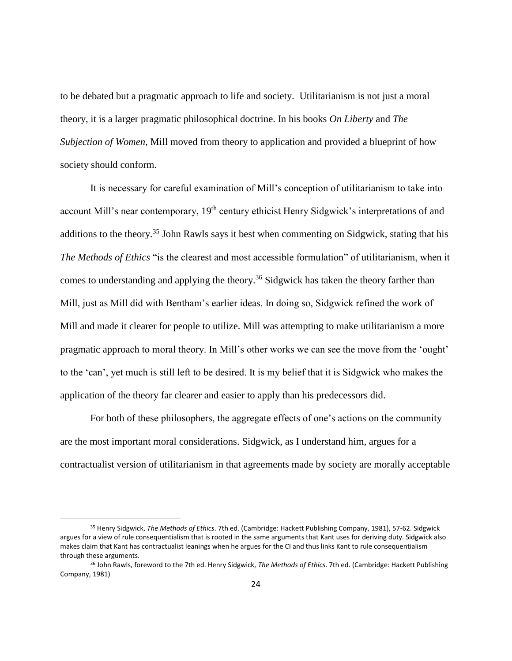to be debated but a pragmatic approach to life and society. Utilitarianism is not just a moral theory, it is a larger pragmatic philosophical doctrine. In his books *On Liberty* and *The Subjection of Women*, Mill moved from theory to application and provided a blueprint of how society should conform.

It is necessary for careful examination of Mill's conception of utilitarianism to take into account Mill's near contemporary, 19<sup>th</sup> century ethicist Henry Sidgwick's interpretations of and additions to the theory.<sup>35</sup> John Rawls says it best when commenting on Sidgwick, stating that his *The Methods of Ethics* "is the clearest and most accessible formulation" of utilitarianism, when it comes to understanding and applying the theory.<sup>36</sup> Sidgwick has taken the theory farther than Mill, just as Mill did with Bentham's earlier ideas. In doing so, Sidgwick refined the work of Mill and made it clearer for people to utilize. Mill was attempting to make utilitarianism a more pragmatic approach to moral theory. In Mill's other works we can see the move from the 'ought' to the 'can', yet much is still left to be desired. It is my belief that it is Sidgwick who makes the application of the theory far clearer and easier to apply than his predecessors did.

For both of these philosophers, the aggregate effects of one's actions on the community are the most important moral considerations. Sidgwick, as I understand him, argues for a contractualist version of utilitarianism in that agreements made by society are morally acceptable

<sup>35</sup> Henry Sidgwick, *The Methods of Ethics*. 7th ed. (Cambridge: Hackett Publishing Company, 1981), 57-62. Sidgwick argues for a view of rule consequentialism that is rooted in the same arguments that Kant uses for deriving duty. Sidgwick also makes claim that Kant has contractualist leanings when he argues for the CI and thus links Kant to rule consequentialism through these arguments.

<sup>36</sup> John Rawls, foreword to the 7th ed. Henry Sidgwick, *The Methods of Ethics*. 7th ed. (Cambridge: Hackett Publishing Company, 1981)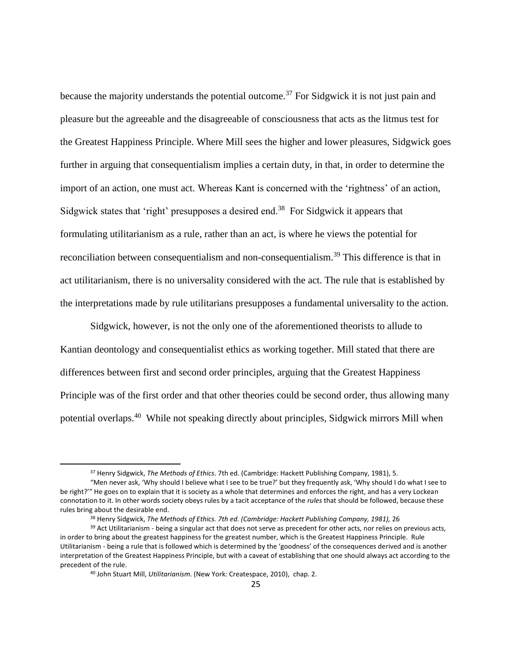because the majority understands the potential outcome.<sup>37</sup> For Sidgwick it is not just pain and pleasure but the agreeable and the disagreeable of consciousness that acts as the litmus test for the Greatest Happiness Principle. Where Mill sees the higher and lower pleasures, Sidgwick goes further in arguing that consequentialism implies a certain duty, in that, in order to determine the import of an action, one must act. Whereas Kant is concerned with the 'rightness' of an action, Sidgwick states that 'right' presupposes a desired end.<sup>38</sup> For Sidgwick it appears that formulating utilitarianism as a rule, rather than an act, is where he views the potential for reconciliation between consequentialism and non-consequentialism.<sup>39</sup> This difference is that in act utilitarianism, there is no universality considered with the act. The rule that is established by the interpretations made by rule utilitarians presupposes a fundamental universality to the action.

Sidgwick, however, is not the only one of the aforementioned theorists to allude to Kantian deontology and consequentialist ethics as working together. Mill stated that there are differences between first and second order principles, arguing that the Greatest Happiness Principle was of the first order and that other theories could be second order, thus allowing many potential overlaps.<sup>40</sup> While not speaking directly about principles, Sidgwick mirrors Mill when

 $\overline{a}$ 

<sup>37</sup> Henry Sidgwick, *The Methods of Ethics*. 7th ed. (Cambridge: Hackett Publishing Company, 1981), 5.

<sup>&</sup>quot;Men never ask, 'Why should I believe what I see to be true?' but they frequently ask, 'Why should I do what I see to be right?" He goes on to explain that it is society as a whole that determines and enforces the right, and has a very Lockean connotation to it. In other words society obeys rules by a tacit acceptance of the *rules* that should be followed, because these rules bring about the desirable end.

<sup>38</sup> Henry Sidgwick, *The Methods of Ethics. 7th ed. (Cambridge: Hackett Publishing Company, 1981),* 26

<sup>&</sup>lt;sup>39</sup> Act Utilitarianism - being a singular act that does not serve as precedent for other acts, nor relies on previous acts, in order to bring about the greatest happiness for the greatest number, which is the Greatest Happiness Principle. Rule Utilitarianism - being a rule that is followed which is determined by the 'goodness' of the consequences derived and is another interpretation of the Greatest Happiness Principle, but with a caveat of establishing that one should always act according to the precedent of the rule.

<sup>40</sup> John Stuart Mill, *Utilitarianism*. (New York: Createspace, 2010), chap. 2.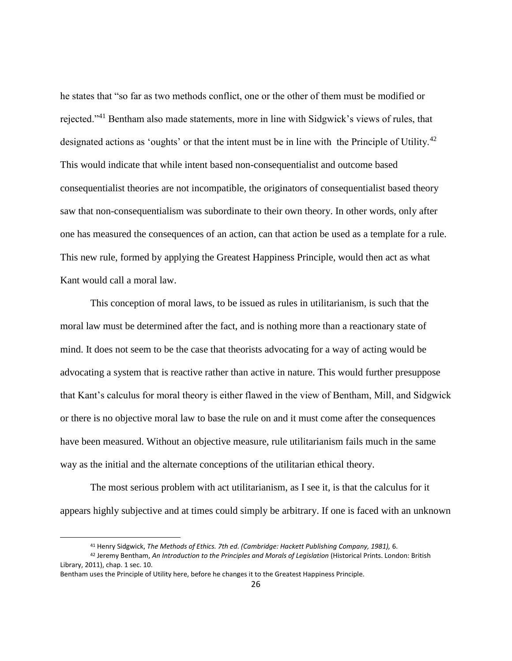he states that "so far as two methods conflict, one or the other of them must be modified or rejected."<sup>41</sup> Bentham also made statements, more in line with Sidgwick's views of rules, that designated actions as 'oughts' or that the intent must be in line with the Principle of Utility.<sup>42</sup> This would indicate that while intent based non-consequentialist and outcome based consequentialist theories are not incompatible, the originators of consequentialist based theory saw that non-consequentialism was subordinate to their own theory. In other words, only after one has measured the consequences of an action, can that action be used as a template for a rule. This new rule, formed by applying the Greatest Happiness Principle, would then act as what Kant would call a moral law.

This conception of moral laws, to be issued as rules in utilitarianism, is such that the moral law must be determined after the fact, and is nothing more than a reactionary state of mind. It does not seem to be the case that theorists advocating for a way of acting would be advocating a system that is reactive rather than active in nature. This would further presuppose that Kant's calculus for moral theory is either flawed in the view of Bentham, Mill, and Sidgwick or there is no objective moral law to base the rule on and it must come after the consequences have been measured. Without an objective measure, rule utilitarianism fails much in the same way as the initial and the alternate conceptions of the utilitarian ethical theory.

The most serious problem with act utilitarianism, as I see it, is that the calculus for it appears highly subjective and at times could simply be arbitrary. If one is faced with an unknown

<sup>41</sup> Henry Sidgwick, *The Methods of Ethics. 7th ed. (Cambridge: Hackett Publishing Company, 1981),* 6.

<sup>42</sup> Jeremy Bentham, *An Introduction to the Principles and Morals of Legislation* (Historical Prints. London: British Library, 2011), chap. 1 sec. 10.

Bentham uses the Principle of Utility here, before he changes it to the Greatest Happiness Principle.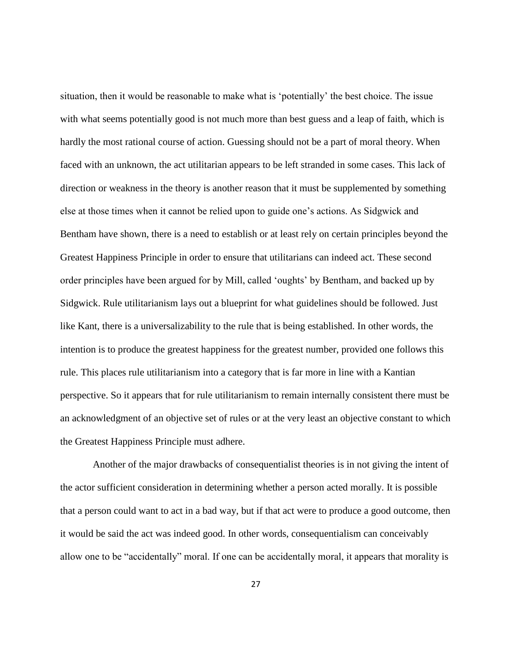situation, then it would be reasonable to make what is 'potentially' the best choice. The issue with what seems potentially good is not much more than best guess and a leap of faith, which is hardly the most rational course of action. Guessing should not be a part of moral theory. When faced with an unknown, the act utilitarian appears to be left stranded in some cases. This lack of direction or weakness in the theory is another reason that it must be supplemented by something else at those times when it cannot be relied upon to guide one's actions. As Sidgwick and Bentham have shown, there is a need to establish or at least rely on certain principles beyond the Greatest Happiness Principle in order to ensure that utilitarians can indeed act. These second order principles have been argued for by Mill, called 'oughts' by Bentham, and backed up by Sidgwick. Rule utilitarianism lays out a blueprint for what guidelines should be followed. Just like Kant, there is a universalizability to the rule that is being established. In other words, the intention is to produce the greatest happiness for the greatest number, provided one follows this rule. This places rule utilitarianism into a category that is far more in line with a Kantian perspective. So it appears that for rule utilitarianism to remain internally consistent there must be an acknowledgment of an objective set of rules or at the very least an objective constant to which the Greatest Happiness Principle must adhere.

Another of the major drawbacks of consequentialist theories is in not giving the intent of the actor sufficient consideration in determining whether a person acted morally. It is possible that a person could want to act in a bad way, but if that act were to produce a good outcome, then it would be said the act was indeed good. In other words, consequentialism can conceivably allow one to be "accidentally" moral. If one can be accidentally moral, it appears that morality is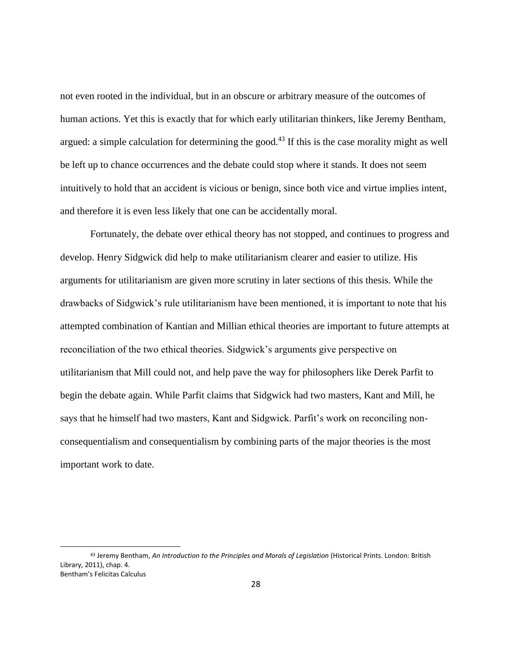not even rooted in the individual, but in an obscure or arbitrary measure of the outcomes of human actions. Yet this is exactly that for which early utilitarian thinkers, like Jeremy Bentham, argued: a simple calculation for determining the good.<sup>43</sup> If this is the case morality might as well be left up to chance occurrences and the debate could stop where it stands. It does not seem intuitively to hold that an accident is vicious or benign, since both vice and virtue implies intent, and therefore it is even less likely that one can be accidentally moral.

Fortunately, the debate over ethical theory has not stopped, and continues to progress and develop. Henry Sidgwick did help to make utilitarianism clearer and easier to utilize. His arguments for utilitarianism are given more scrutiny in later sections of this thesis. While the drawbacks of Sidgwick's rule utilitarianism have been mentioned, it is important to note that his attempted combination of Kantian and Millian ethical theories are important to future attempts at reconciliation of the two ethical theories. Sidgwick's arguments give perspective on utilitarianism that Mill could not, and help pave the way for philosophers like Derek Parfit to begin the debate again. While Parfit claims that Sidgwick had two masters, Kant and Mill, he says that he himself had two masters, Kant and Sidgwick. Parfit's work on reconciling nonconsequentialism and consequentialism by combining parts of the major theories is the most important work to date.

<sup>43</sup> Jeremy Bentham, *An Introduction to the Principles and Morals of Legislation* (Historical Prints. London: British Library, 2011), chap. 4. Bentham's Felicitas Calculus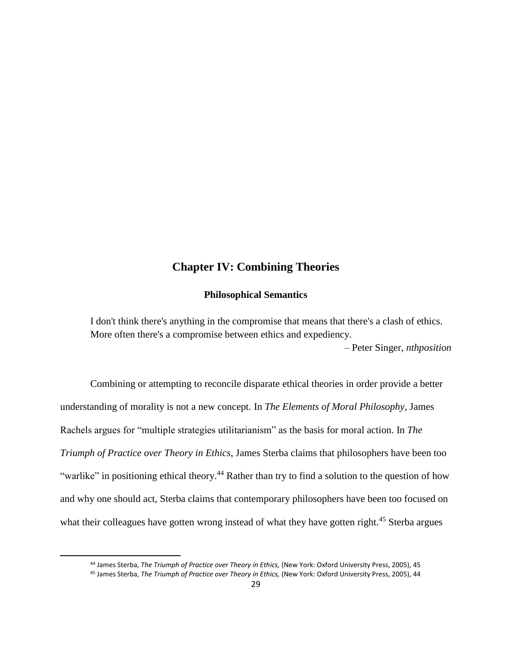## **Chapter IV: Combining Theories**

## **Philosophical Semantics**

<span id="page-35-0"></span>I don't think there's anything in the compromise that means that there's a clash of ethics. More often there's a compromise between ethics and expediency.

– Peter Singer, *nthposition*

Combining or attempting to reconcile disparate ethical theories in order provide a better understanding of morality is not a new concept. In *The Elements of Moral Philosophy*, James Rachels argues for "multiple strategies utilitarianism" as the basis for moral action. In *The Triumph of Practice over Theory in Ethics*, James Sterba claims that philosophers have been too "warlike" in positioning ethical theory.<sup>44</sup> Rather than try to find a solution to the question of how and why one should act, Sterba claims that contemporary philosophers have been too focused on what their colleagues have gotten wrong instead of what they have gotten right.<sup>45</sup> Sterba argues

 $\overline{a}$ 

<sup>44</sup> James Sterba, *The Triumph of Practice over Theory in Ethics,* (New York: Oxford University Press, 2005), 45

<sup>45</sup> James Sterba, *The Triumph of Practice over Theory in Ethics,* (New York: Oxford University Press, 2005), 44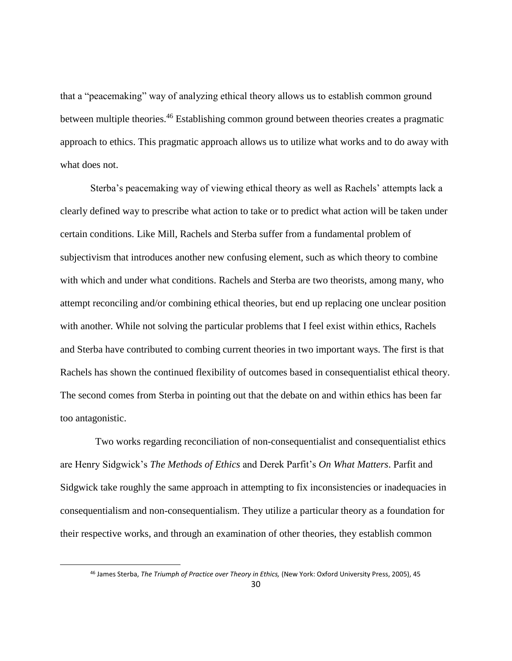that a "peacemaking" way of analyzing ethical theory allows us to establish common ground between multiple theories.<sup>46</sup> Establishing common ground between theories creates a pragmatic approach to ethics. This pragmatic approach allows us to utilize what works and to do away with what does not.

Sterba's peacemaking way of viewing ethical theory as well as Rachels' attempts lack a clearly defined way to prescribe what action to take or to predict what action will be taken under certain conditions. Like Mill, Rachels and Sterba suffer from a fundamental problem of subjectivism that introduces another new confusing element, such as which theory to combine with which and under what conditions. Rachels and Sterba are two theorists, among many, who attempt reconciling and/or combining ethical theories, but end up replacing one unclear position with another. While not solving the particular problems that I feel exist within ethics, Rachels and Sterba have contributed to combing current theories in two important ways. The first is that Rachels has shown the continued flexibility of outcomes based in consequentialist ethical theory. The second comes from Sterba in pointing out that the debate on and within ethics has been far too antagonistic.

 Two works regarding reconciliation of non-consequentialist and consequentialist ethics are Henry Sidgwick's *The Methods of Ethics* and Derek Parfit's *On What Matters*. Parfit and Sidgwick take roughly the same approach in attempting to fix inconsistencies or inadequacies in consequentialism and non-consequentialism. They utilize a particular theory as a foundation for their respective works, and through an examination of other theories, they establish common

<sup>46</sup> James Sterba, *The Triumph of Practice over Theory in Ethics,* (New York: Oxford University Press, 2005), 45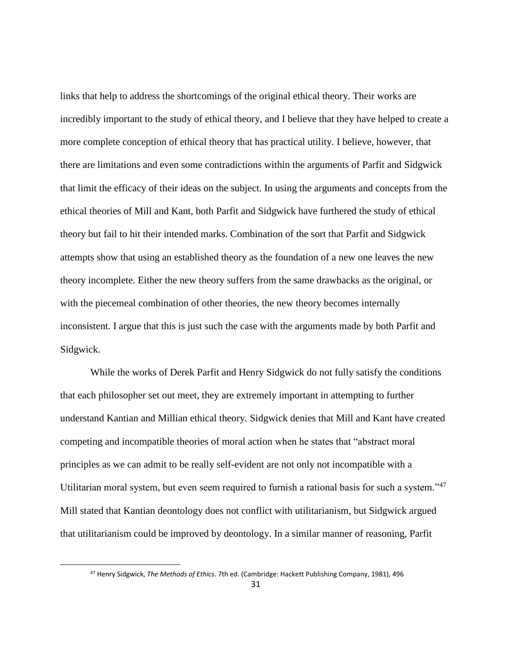links that help to address the shortcomings of the original ethical theory. Their works are incredibly important to the study of ethical theory, and I believe that they have helped to create a more complete conception of ethical theory that has practical utility. I believe, however, that there are limitations and even some contradictions within the arguments of Parfit and Sidgwick that limit the efficacy of their ideas on the subject. In using the arguments and concepts from the ethical theories of Mill and Kant, both Parfit and Sidgwick have furthered the study of ethical theory but fail to hit their intended marks. Combination of the sort that Parfit and Sidgwick attempts show that using an established theory as the foundation of a new one leaves the new theory incomplete. Either the new theory suffers from the same drawbacks as the original, or with the piecemeal combination of other theories, the new theory becomes internally inconsistent. I argue that this is just such the case with the arguments made by both Parfit and Sidgwick.

While the works of Derek Parfit and Henry Sidgwick do not fully satisfy the conditions that each philosopher set out meet, they are extremely important in attempting to further understand Kantian and Millian ethical theory. Sidgwick denies that Mill and Kant have created competing and incompatible theories of moral action when he states that "abstract moral principles as we can admit to be really self-evident are not only not incompatible with a Utilitarian moral system, but even seem required to furnish a rational basis for such a system."<sup>47</sup> Mill stated that Kantian deontology does not conflict with utilitarianism, but Sidgwick argued that utilitarianism could be improved by deontology. In a similar manner of reasoning, Parfit

<sup>47</sup> Henry Sidgwick, *The Methods of Ethics*. 7th ed. (Cambridge: Hackett Publishing Company, 1981), 496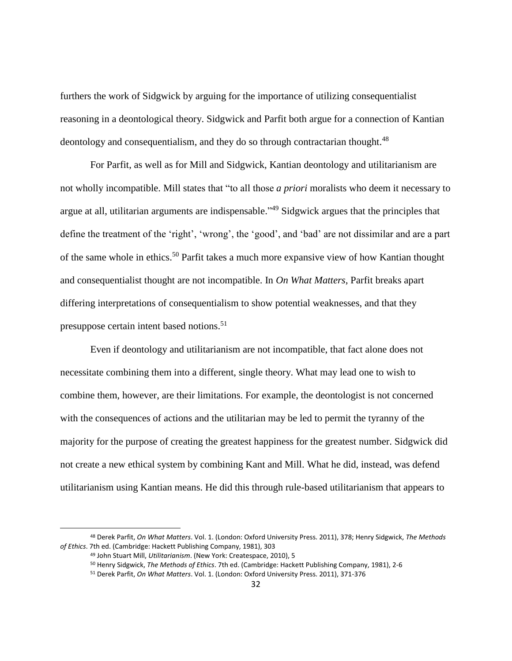furthers the work of Sidgwick by arguing for the importance of utilizing consequentialist reasoning in a deontological theory. Sidgwick and Parfit both argue for a connection of Kantian deontology and consequentialism, and they do so through contractarian thought.<sup>48</sup>

For Parfit, as well as for Mill and Sidgwick, Kantian deontology and utilitarianism are not wholly incompatible. Mill states that "to all those *a priori* moralists who deem it necessary to argue at all, utilitarian arguments are indispensable."<sup>49</sup> Sidgwick argues that the principles that define the treatment of the 'right', 'wrong', the 'good', and 'bad' are not dissimilar and are a part of the same whole in ethics.<sup>50</sup> Parfit takes a much more expansive view of how Kantian thought and consequentialist thought are not incompatible. In *On What Matters*, Parfit breaks apart differing interpretations of consequentialism to show potential weaknesses, and that they presuppose certain intent based notions.<sup>51</sup>

Even if deontology and utilitarianism are not incompatible, that fact alone does not necessitate combining them into a different, single theory. What may lead one to wish to combine them, however, are their limitations. For example, the deontologist is not concerned with the consequences of actions and the utilitarian may be led to permit the tyranny of the majority for the purpose of creating the greatest happiness for the greatest number. Sidgwick did not create a new ethical system by combining Kant and Mill. What he did, instead, was defend utilitarianism using Kantian means. He did this through rule-based utilitarianism that appears to

<sup>48</sup> Derek Parfit, *On What Matters*. Vol. 1. (London: Oxford University Press. 2011), 378; Henry Sidgwick, *The Methods of Ethics*. 7th ed. (Cambridge: Hackett Publishing Company, 1981), 303

<sup>49</sup> John Stuart Mill, *Utilitarianism*. (New York: Createspace, 2010), 5

<sup>50</sup> Henry Sidgwick, *The Methods of Ethics*. 7th ed. (Cambridge: Hackett Publishing Company, 1981), 2-6

<sup>51</sup> Derek Parfit, *On What Matters*. Vol. 1. (London: Oxford University Press. 2011), 371-376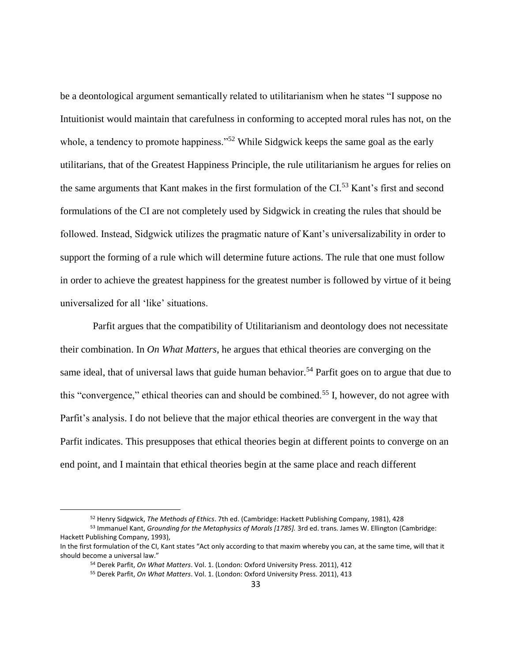be a deontological argument semantically related to utilitarianism when he states "I suppose no Intuitionist would maintain that carefulness in conforming to accepted moral rules has not, on the whole, a tendency to promote happiness."<sup>52</sup> While Sidgwick keeps the same goal as the early utilitarians, that of the Greatest Happiness Principle, the rule utilitarianism he argues for relies on the same arguments that Kant makes in the first formulation of the CI.<sup>53</sup> Kant's first and second formulations of the CI are not completely used by Sidgwick in creating the rules that should be followed. Instead, Sidgwick utilizes the pragmatic nature of Kant's universalizability in order to support the forming of a rule which will determine future actions. The rule that one must follow in order to achieve the greatest happiness for the greatest number is followed by virtue of it being universalized for all 'like' situations.

Parfit argues that the compatibility of Utilitarianism and deontology does not necessitate their combination. In *On What Matters*, he argues that ethical theories are converging on the same ideal, that of universal laws that guide human behavior.<sup>54</sup> Parfit goes on to argue that due to this "convergence," ethical theories can and should be combined.<sup>55</sup> I, however, do not agree with Parfit's analysis. I do not believe that the major ethical theories are convergent in the way that Parfit indicates. This presupposes that ethical theories begin at different points to converge on an end point, and I maintain that ethical theories begin at the same place and reach different

<sup>52</sup> Henry Sidgwick, *The Methods of Ethics*. 7th ed. (Cambridge: Hackett Publishing Company, 1981), 428

<sup>53</sup> Immanuel Kant, *Grounding for the Metaphysics of Morals [1785].* 3rd ed. trans. James W. Ellington (Cambridge: Hackett Publishing Company, 1993),

In the first formulation of the CI, Kant states "Act only according to that maxim whereby you can, at the same time, will that it should become a universal law."

<sup>54</sup> Derek Parfit, *On What Matters*. Vol. 1. (London: Oxford University Press. 2011), 412

<sup>55</sup> Derek Parfit, *On What Matters*. Vol. 1. (London: Oxford University Press. 2011), 413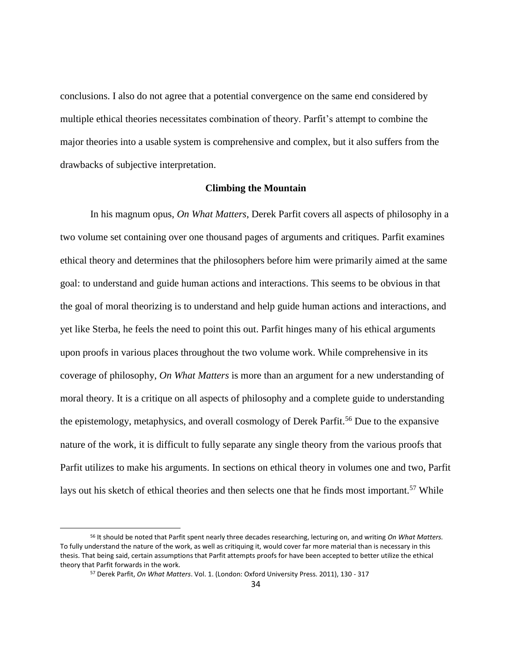conclusions. I also do not agree that a potential convergence on the same end considered by multiple ethical theories necessitates combination of theory. Parfit's attempt to combine the major theories into a usable system is comprehensive and complex, but it also suffers from the drawbacks of subjective interpretation.

#### **Climbing the Mountain**

<span id="page-40-0"></span>In his magnum opus, *On What Matters*, Derek Parfit covers all aspects of philosophy in a two volume set containing over one thousand pages of arguments and critiques. Parfit examines ethical theory and determines that the philosophers before him were primarily aimed at the same goal: to understand and guide human actions and interactions. This seems to be obvious in that the goal of moral theorizing is to understand and help guide human actions and interactions, and yet like Sterba, he feels the need to point this out. Parfit hinges many of his ethical arguments upon proofs in various places throughout the two volume work. While comprehensive in its coverage of philosophy, *On What Matters* is more than an argument for a new understanding of moral theory. It is a critique on all aspects of philosophy and a complete guide to understanding the epistemology, metaphysics, and overall cosmology of Derek Parfit.<sup>56</sup> Due to the expansive nature of the work, it is difficult to fully separate any single theory from the various proofs that Parfit utilizes to make his arguments. In sections on ethical theory in volumes one and two, Parfit lays out his sketch of ethical theories and then selects one that he finds most important.<sup>57</sup> While

<sup>56</sup> It should be noted that Parfit spent nearly three decades researching, lecturing on, and writing *On What Matters.* To fully understand the nature of the work, as well as critiquing it, would cover far more material than is necessary in this thesis. That being said, certain assumptions that Parfit attempts proofs for have been accepted to better utilize the ethical theory that Parfit forwards in the work.

<sup>57</sup> Derek Parfit, *On What Matters*. Vol. 1. (London: Oxford University Press. 2011), 130 - 317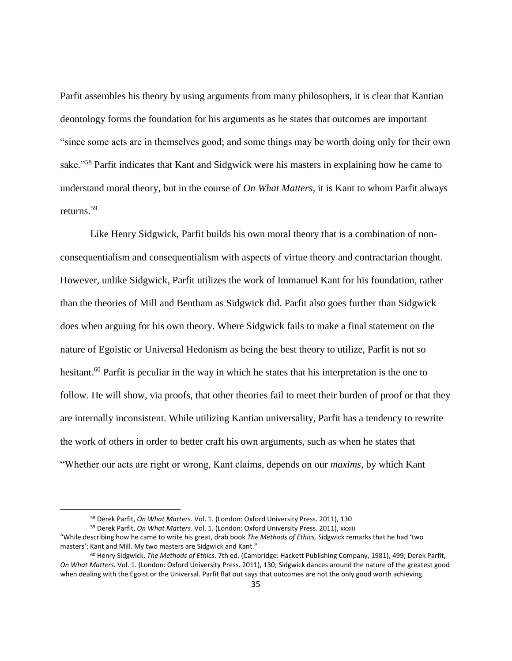Parfit assembles his theory by using arguments from many philosophers, it is clear that Kantian deontology forms the foundation for his arguments as he states that outcomes are important "since some acts are in themselves good; and some things may be worth doing only for their own sake."<sup>58</sup> Parfit indicates that Kant and Sidgwick were his masters in explaining how he came to understand moral theory, but in the course of *On What Matters,* it is Kant to whom Parfit always returns.<sup>59</sup>

Like Henry Sidgwick, Parfit builds his own moral theory that is a combination of nonconsequentialism and consequentialism with aspects of virtue theory and contractarian thought. However, unlike Sidgwick, Parfit utilizes the work of Immanuel Kant for his foundation, rather than the theories of Mill and Bentham as Sidgwick did. Parfit also goes further than Sidgwick does when arguing for his own theory. Where Sidgwick fails to make a final statement on the nature of Egoistic or Universal Hedonism as being the best theory to utilize, Parfit is not so hesitant.<sup>60</sup> Parfit is peculiar in the way in which he states that his interpretation is the one to follow. He will show, via proofs, that other theories fail to meet their burden of proof or that they are internally inconsistent. While utilizing Kantian universality, Parfit has a tendency to rewrite the work of others in order to better craft his own arguments, such as when he states that "Whether our acts are right or wrong, Kant claims, depends on our *maxims*, by which Kant

<sup>58</sup> Derek Parfit, *On What Matters*. Vol. 1. (London: Oxford University Press. 2011), 130

<sup>59</sup> Derek Parfit, *On What Matters*. Vol. 1. (London: Oxford University Press. 2011), xxxiii

<sup>&</sup>quot;While describing how he came to write his great, drab book *The Methods of Ethics,* Sidgwick remarks that he had 'two masters': Kant and Mill. My two masters are Sidgwick and Kant."

<sup>60</sup> Henry Sidgwick, *The Methods of Ethics*. 7th ed. (Cambridge: Hackett Publishing Company, 1981), 499; Derek Parfit, *On What Matters*. Vol. 1. (London: Oxford University Press. 2011), 130; Sidgwick dances around the nature of the greatest good when dealing with the Egoist or the Universal. Parfit flat out says that outcomes are not the only good worth achieving.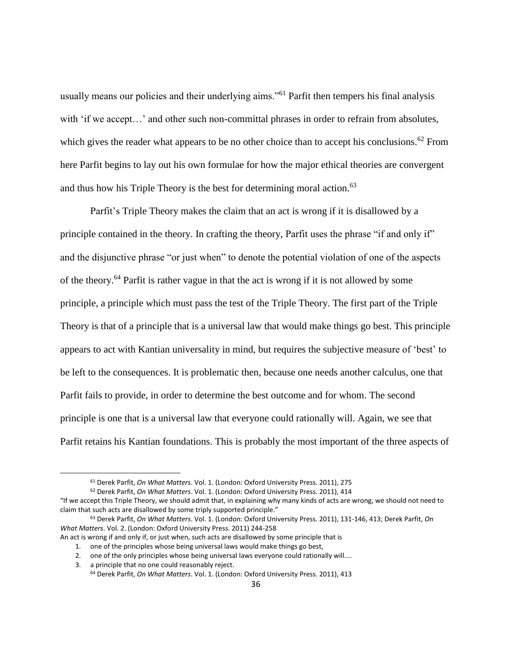usually means our policies and their underlying aims."<sup>61</sup> Parfit then tempers his final analysis with 'if we accept...' and other such non-committal phrases in order to refrain from absolutes, which gives the reader what appears to be no other choice than to accept his conclusions.<sup>62</sup> From here Parfit begins to lay out his own formulae for how the major ethical theories are convergent and thus how his Triple Theory is the best for determining moral action.<sup>63</sup>

Parfit's Triple Theory makes the claim that an act is wrong if it is disallowed by a principle contained in the theory. In crafting the theory, Parfit uses the phrase "if and only if" and the disjunctive phrase "or just when" to denote the potential violation of one of the aspects of the theory.<sup>64</sup> Parfit is rather vague in that the act is wrong if it is not allowed by some principle, a principle which must pass the test of the Triple Theory. The first part of the Triple Theory is that of a principle that is a universal law that would make things go best. This principle appears to act with Kantian universality in mind, but requires the subjective measure of 'best' to be left to the consequences. It is problematic then, because one needs another calculus, one that Parfit fails to provide, in order to determine the best outcome and for whom. The second principle is one that is a universal law that everyone could rationally will. Again, we see that Parfit retains his Kantian foundations. This is probably the most important of the three aspects of

<sup>61</sup> Derek Parfit, *On What Matters*. Vol. 1. (London: Oxford University Press. 2011), 275

<sup>62</sup> Derek Parfit, *On What Matters*. Vol. 1. (London: Oxford University Press. 2011), 414

<sup>&</sup>quot;If we accept this Triple Theory, we should admit that, in explaining why many kinds of acts are wrong, we should not need to claim that such acts are disallowed by some triply supported principle."

<sup>63</sup> Derek Parfit, *On What Matters*. Vol. 1. (London: Oxford University Press. 2011), 131-146, 413; Derek Parfit, *On What Matters*. Vol. 2. (London: Oxford University Press. 2011) 244-258

An act is wrong if and only if, or just when, such acts are disallowed by some principle that is

<sup>1.</sup> one of the principles whose being universal laws would make things go best,

<sup>2.</sup> one of the only principles whose being universal laws everyone could rationally will....

<sup>3.</sup> a principle that no one could reasonably reject.

<sup>64</sup> Derek Parfit, *On What Matters*. Vol. 1. (London: Oxford University Press. 2011), 413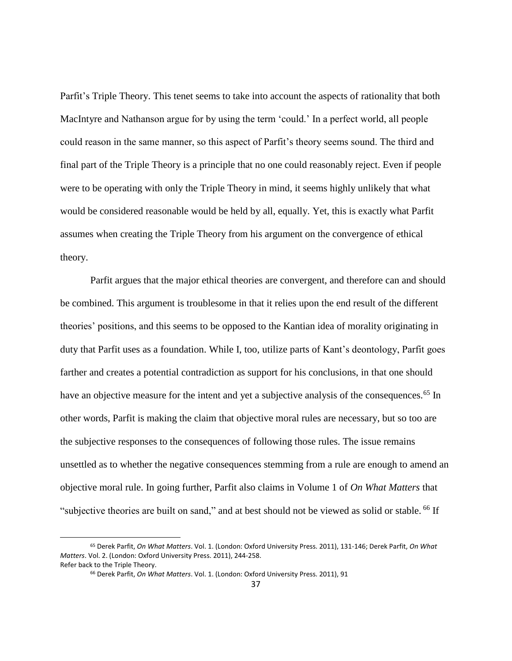Parfit's Triple Theory. This tenet seems to take into account the aspects of rationality that both MacIntyre and Nathanson argue for by using the term 'could.' In a perfect world, all people could reason in the same manner, so this aspect of Parfit's theory seems sound. The third and final part of the Triple Theory is a principle that no one could reasonably reject. Even if people were to be operating with only the Triple Theory in mind, it seems highly unlikely that what would be considered reasonable would be held by all, equally. Yet, this is exactly what Parfit assumes when creating the Triple Theory from his argument on the convergence of ethical theory.

Parfit argues that the major ethical theories are convergent, and therefore can and should be combined. This argument is troublesome in that it relies upon the end result of the different theories' positions, and this seems to be opposed to the Kantian idea of morality originating in duty that Parfit uses as a foundation. While I, too, utilize parts of Kant's deontology, Parfit goes farther and creates a potential contradiction as support for his conclusions, in that one should have an objective measure for the intent and yet a subjective analysis of the consequences.<sup>65</sup> In other words, Parfit is making the claim that objective moral rules are necessary, but so too are the subjective responses to the consequences of following those rules. The issue remains unsettled as to whether the negative consequences stemming from a rule are enough to amend an objective moral rule. In going further, Parfit also claims in Volume 1 of *On What Matters* that "subjective theories are built on sand," and at best should not be viewed as solid or stable. <sup>66</sup> If

<sup>65</sup> Derek Parfit, *On What Matters*. Vol. 1. (London: Oxford University Press. 2011), 131-146; Derek Parfit, *On What Matters*. Vol. 2. (London: Oxford University Press. 2011), 244-258. Refer back to the Triple Theory.

<sup>66</sup> Derek Parfit, *On What Matters*. Vol. 1. (London: Oxford University Press. 2011), 91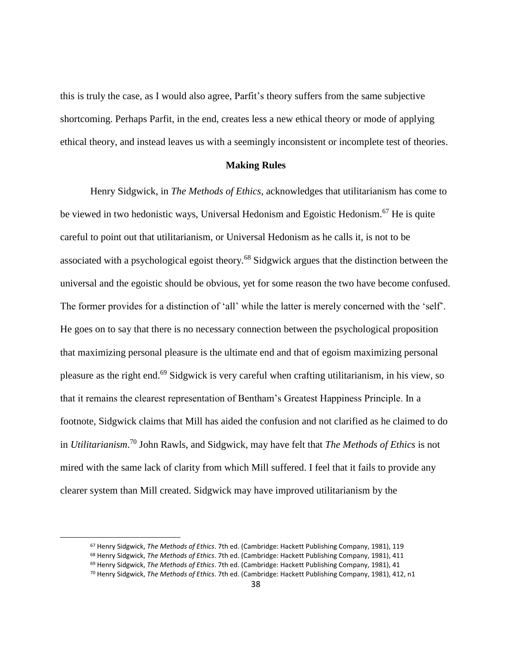this is truly the case, as I would also agree, Parfit's theory suffers from the same subjective shortcoming. Perhaps Parfit, in the end, creates less a new ethical theory or mode of applying ethical theory, and instead leaves us with a seemingly inconsistent or incomplete test of theories.

#### **Making Rules**

<span id="page-44-0"></span>Henry Sidgwick, in *The Methods of Ethics*, acknowledges that utilitarianism has come to be viewed in two hedonistic ways, Universal Hedonism and Egoistic Hedonism.<sup>67</sup> He is quite careful to point out that utilitarianism, or Universal Hedonism as he calls it, is not to be associated with a psychological egoist theory.<sup>68</sup> Sidgwick argues that the distinction between the universal and the egoistic should be obvious, yet for some reason the two have become confused. The former provides for a distinction of 'all' while the latter is merely concerned with the 'self'. He goes on to say that there is no necessary connection between the psychological proposition that maximizing personal pleasure is the ultimate end and that of egoism maximizing personal pleasure as the right end. <sup>69</sup> Sidgwick is very careful when crafting utilitarianism, in his view, so that it remains the clearest representation of Bentham's Greatest Happiness Principle. In a footnote, Sidgwick claims that Mill has aided the confusion and not clarified as he claimed to do in *Utilitarianism*. <sup>70</sup> John Rawls, and Sidgwick, may have felt that *The Methods of Ethics* is not mired with the same lack of clarity from which Mill suffered. I feel that it fails to provide any clearer system than Mill created. Sidgwick may have improved utilitarianism by the

<sup>67</sup> Henry Sidgwick, *The Methods of Ethics*. 7th ed. (Cambridge: Hackett Publishing Company, 1981), 119

<sup>68</sup> Henry Sidgwick, *The Methods of Ethics*. 7th ed. (Cambridge: Hackett Publishing Company, 1981), 411

<sup>69</sup> Henry Sidgwick, *The Methods of Ethics*. 7th ed. (Cambridge: Hackett Publishing Company, 1981), 41

<sup>70</sup> Henry Sidgwick, *The Methods of Ethics*. 7th ed. (Cambridge: Hackett Publishing Company, 1981), 412, n1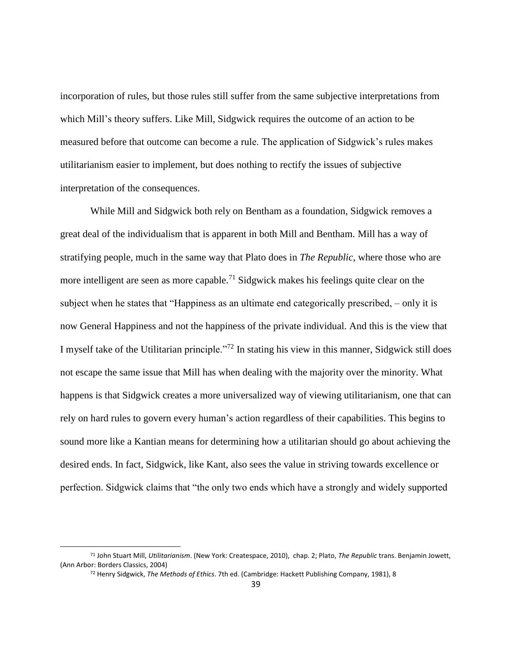incorporation of rules, but those rules still suffer from the same subjective interpretations from which Mill's theory suffers. Like Mill, Sidgwick requires the outcome of an action to be measured before that outcome can become a rule. The application of Sidgwick's rules makes utilitarianism easier to implement, but does nothing to rectify the issues of subjective interpretation of the consequences.

While Mill and Sidgwick both rely on Bentham as a foundation, Sidgwick removes a great deal of the individualism that is apparent in both Mill and Bentham. Mill has a way of stratifying people, much in the same way that Plato does in *The Republic*, where those who are more intelligent are seen as more capable.<sup>71</sup> Sidgwick makes his feelings quite clear on the subject when he states that "Happiness as an ultimate end categorically prescribed, – only it is now General Happiness and not the happiness of the private individual. And this is the view that I myself take of the Utilitarian principle."<sup>72</sup> In stating his view in this manner, Sidgwick still does not escape the same issue that Mill has when dealing with the majority over the minority. What happens is that Sidgwick creates a more universalized way of viewing utilitarianism, one that can rely on hard rules to govern every human's action regardless of their capabilities. This begins to sound more like a Kantian means for determining how a utilitarian should go about achieving the desired ends. In fact, Sidgwick, like Kant, also sees the value in striving towards excellence or perfection. Sidgwick claims that "the only two ends which have a strongly and widely supported

<sup>71</sup> John Stuart Mill, *Utilitarianism*. (New York: Createspace, 2010), chap. 2; Plato, *The Republic* trans. Benjamin Jowett, (Ann Arbor: Borders Classics, 2004)

<sup>72</sup> Henry Sidgwick, *The Methods of Ethics*. 7th ed. (Cambridge: Hackett Publishing Company, 1981), 8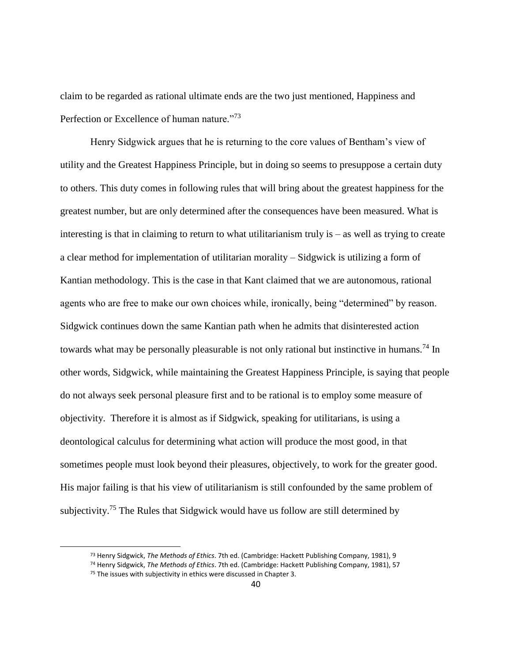claim to be regarded as rational ultimate ends are the two just mentioned, Happiness and Perfection or Excellence of human nature."<sup>73</sup>

Henry Sidgwick argues that he is returning to the core values of Bentham's view of utility and the Greatest Happiness Principle, but in doing so seems to presuppose a certain duty to others. This duty comes in following rules that will bring about the greatest happiness for the greatest number, but are only determined after the consequences have been measured. What is interesting is that in claiming to return to what utilitarianism truly is – as well as trying to create a clear method for implementation of utilitarian morality – Sidgwick is utilizing a form of Kantian methodology. This is the case in that Kant claimed that we are autonomous, rational agents who are free to make our own choices while, ironically, being "determined" by reason. Sidgwick continues down the same Kantian path when he admits that disinterested action towards what may be personally pleasurable is not only rational but instinctive in humans.<sup>74</sup> In other words, Sidgwick, while maintaining the Greatest Happiness Principle, is saying that people do not always seek personal pleasure first and to be rational is to employ some measure of objectivity. Therefore it is almost as if Sidgwick, speaking for utilitarians, is using a deontological calculus for determining what action will produce the most good, in that sometimes people must look beyond their pleasures, objectively, to work for the greater good. His major failing is that his view of utilitarianism is still confounded by the same problem of subjectivity.<sup>75</sup> The Rules that Sidgwick would have us follow are still determined by

<sup>73</sup> Henry Sidgwick, *The Methods of Ethics*. 7th ed. (Cambridge: Hackett Publishing Company, 1981), 9

<sup>74</sup> Henry Sidgwick, *The Methods of Ethics*. 7th ed. (Cambridge: Hackett Publishing Company, 1981), 57

 $75$  The issues with subjectivity in ethics were discussed in Chapter 3.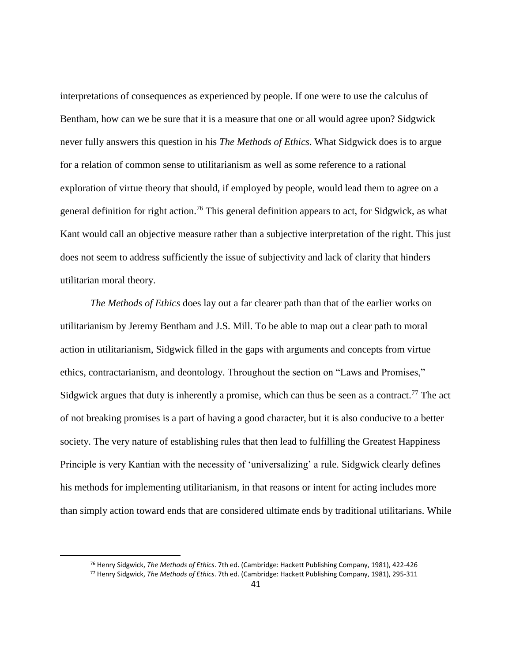interpretations of consequences as experienced by people. If one were to use the calculus of Bentham, how can we be sure that it is a measure that one or all would agree upon? Sidgwick never fully answers this question in his *The Methods of Ethics*. What Sidgwick does is to argue for a relation of common sense to utilitarianism as well as some reference to a rational exploration of virtue theory that should, if employed by people, would lead them to agree on a general definition for right action.<sup>76</sup> This general definition appears to act, for Sidgwick, as what Kant would call an objective measure rather than a subjective interpretation of the right. This just does not seem to address sufficiently the issue of subjectivity and lack of clarity that hinders utilitarian moral theory.

*The Methods of Ethics* does lay out a far clearer path than that of the earlier works on utilitarianism by Jeremy Bentham and J.S. Mill. To be able to map out a clear path to moral action in utilitarianism, Sidgwick filled in the gaps with arguments and concepts from virtue ethics, contractarianism, and deontology. Throughout the section on "Laws and Promises," Sidgwick argues that duty is inherently a promise, which can thus be seen as a contract.<sup>77</sup> The act of not breaking promises is a part of having a good character, but it is also conducive to a better society. The very nature of establishing rules that then lead to fulfilling the Greatest Happiness Principle is very Kantian with the necessity of 'universalizing' a rule. Sidgwick clearly defines his methods for implementing utilitarianism, in that reasons or intent for acting includes more than simply action toward ends that are considered ultimate ends by traditional utilitarians. While

 $\overline{a}$ 

<sup>76</sup> Henry Sidgwick, *The Methods of Ethics*. 7th ed. (Cambridge: Hackett Publishing Company, 1981), 422-426

<sup>77</sup> Henry Sidgwick, *The Methods of Ethics*. 7th ed. (Cambridge: Hackett Publishing Company, 1981), 295-311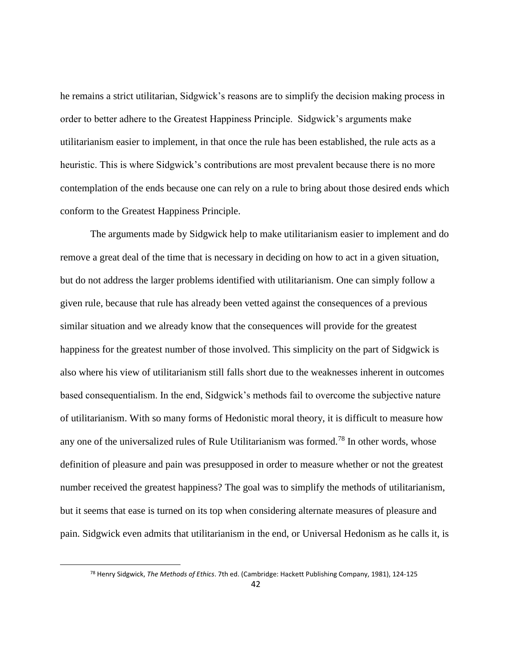he remains a strict utilitarian, Sidgwick's reasons are to simplify the decision making process in order to better adhere to the Greatest Happiness Principle. Sidgwick's arguments make utilitarianism easier to implement, in that once the rule has been established, the rule acts as a heuristic. This is where Sidgwick's contributions are most prevalent because there is no more contemplation of the ends because one can rely on a rule to bring about those desired ends which conform to the Greatest Happiness Principle.

The arguments made by Sidgwick help to make utilitarianism easier to implement and do remove a great deal of the time that is necessary in deciding on how to act in a given situation, but do not address the larger problems identified with utilitarianism. One can simply follow a given rule, because that rule has already been vetted against the consequences of a previous similar situation and we already know that the consequences will provide for the greatest happiness for the greatest number of those involved. This simplicity on the part of Sidgwick is also where his view of utilitarianism still falls short due to the weaknesses inherent in outcomes based consequentialism. In the end, Sidgwick's methods fail to overcome the subjective nature of utilitarianism. With so many forms of Hedonistic moral theory, it is difficult to measure how any one of the universalized rules of Rule Utilitarianism was formed.<sup>78</sup> In other words, whose definition of pleasure and pain was presupposed in order to measure whether or not the greatest number received the greatest happiness? The goal was to simplify the methods of utilitarianism, but it seems that ease is turned on its top when considering alternate measures of pleasure and pain. Sidgwick even admits that utilitarianism in the end, or Universal Hedonism as he calls it, is

<sup>78</sup> Henry Sidgwick, *The Methods of Ethics*. 7th ed. (Cambridge: Hackett Publishing Company, 1981), 124-125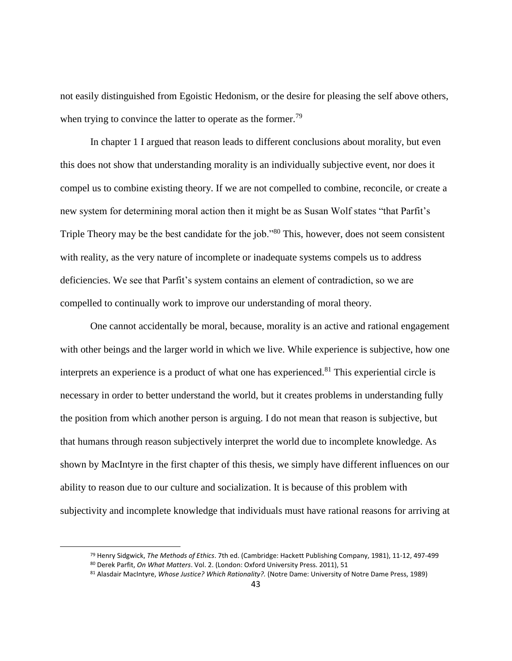not easily distinguished from Egoistic Hedonism, or the desire for pleasing the self above others, when trying to convince the latter to operate as the former.<sup>79</sup>

In chapter 1 I argued that reason leads to different conclusions about morality, but even this does not show that understanding morality is an individually subjective event, nor does it compel us to combine existing theory. If we are not compelled to combine, reconcile, or create a new system for determining moral action then it might be as Susan Wolf states "that Parfit's Triple Theory may be the best candidate for the job."<sup>80</sup> This, however, does not seem consistent with reality, as the very nature of incomplete or inadequate systems compels us to address deficiencies. We see that Parfit's system contains an element of contradiction, so we are compelled to continually work to improve our understanding of moral theory.

One cannot accidentally be moral, because, morality is an active and rational engagement with other beings and the larger world in which we live. While experience is subjective, how one interprets an experience is a product of what one has experienced.<sup>81</sup> This experiential circle is necessary in order to better understand the world, but it creates problems in understanding fully the position from which another person is arguing. I do not mean that reason is subjective, but that humans through reason subjectively interpret the world due to incomplete knowledge. As shown by MacIntyre in the first chapter of this thesis, we simply have different influences on our ability to reason due to our culture and socialization. It is because of this problem with subjectivity and incomplete knowledge that individuals must have rational reasons for arriving at

<sup>79</sup> Henry Sidgwick, *The Methods of Ethics*. 7th ed. (Cambridge: Hackett Publishing Company, 1981), 11-12, 497-499

<sup>80</sup> Derek Parfit, *On What Matters*. Vol. 2. (London: Oxford University Press. 2011), 51

<sup>81</sup> Alasdair MacIntyre, *Whose Justice? Which Rationality?.* (Notre Dame: University of Notre Dame Press, 1989)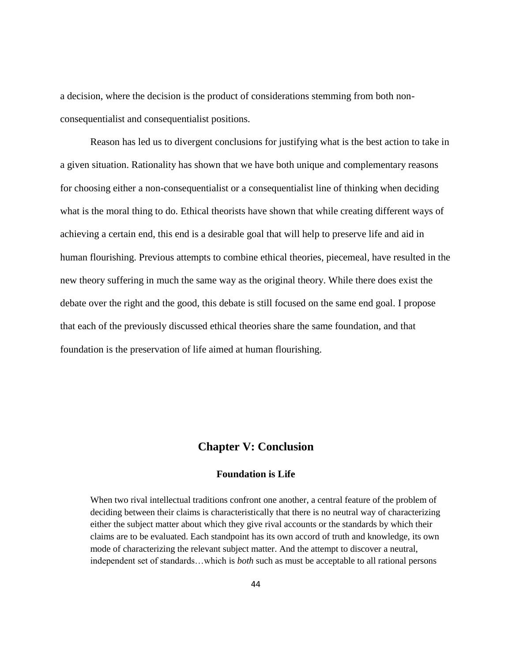a decision, where the decision is the product of considerations stemming from both nonconsequentialist and consequentialist positions.

Reason has led us to divergent conclusions for justifying what is the best action to take in a given situation. Rationality has shown that we have both unique and complementary reasons for choosing either a non-consequentialist or a consequentialist line of thinking when deciding what is the moral thing to do. Ethical theorists have shown that while creating different ways of achieving a certain end, this end is a desirable goal that will help to preserve life and aid in human flourishing. Previous attempts to combine ethical theories, piecemeal, have resulted in the new theory suffering in much the same way as the original theory. While there does exist the debate over the right and the good, this debate is still focused on the same end goal. I propose that each of the previously discussed ethical theories share the same foundation, and that foundation is the preservation of life aimed at human flourishing.

## **Chapter V: Conclusion**

### **Foundation is Life**

<span id="page-50-0"></span>When two rival intellectual traditions confront one another, a central feature of the problem of deciding between their claims is characteristically that there is no neutral way of characterizing either the subject matter about which they give rival accounts or the standards by which their claims are to be evaluated. Each standpoint has its own accord of truth and knowledge, its own mode of characterizing the relevant subject matter. And the attempt to discover a neutral, independent set of standards…which is *both* such as must be acceptable to all rational persons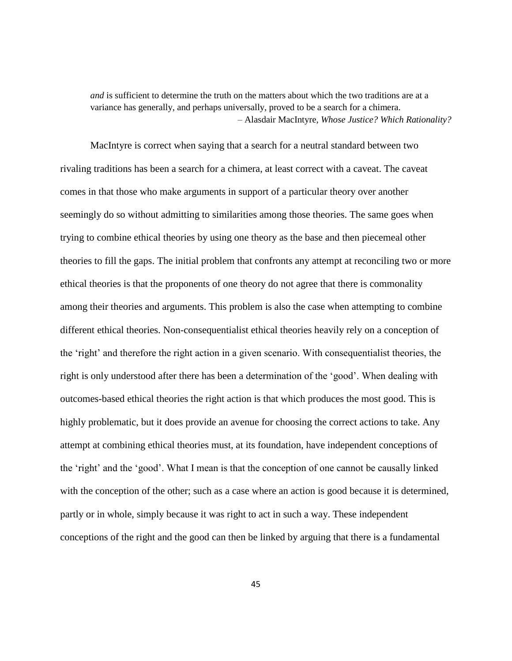*and* is sufficient to determine the truth on the matters about which the two traditions are at a variance has generally, and perhaps universally, proved to be a search for a chimera. – Alasdair MacIntyre, *Whose Justice? Which Rationality?*

MacIntyre is correct when saying that a search for a neutral standard between two rivaling traditions has been a search for a chimera, at least correct with a caveat. The caveat comes in that those who make arguments in support of a particular theory over another seemingly do so without admitting to similarities among those theories. The same goes when trying to combine ethical theories by using one theory as the base and then piecemeal other theories to fill the gaps. The initial problem that confronts any attempt at reconciling two or more ethical theories is that the proponents of one theory do not agree that there is commonality among their theories and arguments. This problem is also the case when attempting to combine different ethical theories. Non-consequentialist ethical theories heavily rely on a conception of the 'right' and therefore the right action in a given scenario. With consequentialist theories, the right is only understood after there has been a determination of the 'good'. When dealing with outcomes-based ethical theories the right action is that which produces the most good. This is highly problematic, but it does provide an avenue for choosing the correct actions to take. Any attempt at combining ethical theories must, at its foundation, have independent conceptions of the 'right' and the 'good'. What I mean is that the conception of one cannot be causally linked with the conception of the other; such as a case where an action is good because it is determined, partly or in whole, simply because it was right to act in such a way. These independent conceptions of the right and the good can then be linked by arguing that there is a fundamental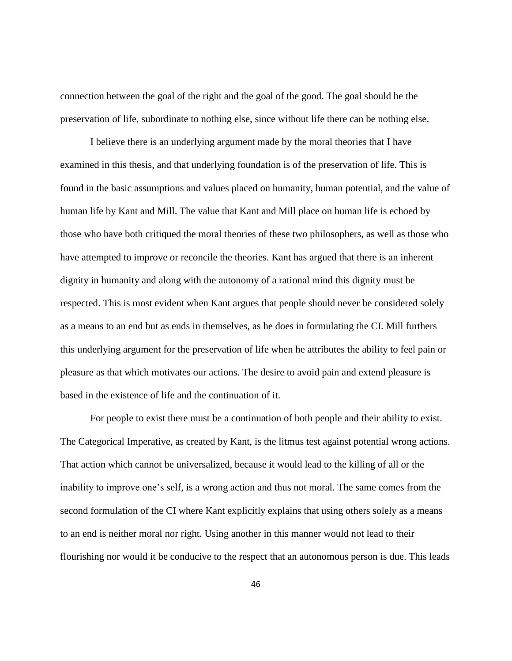connection between the goal of the right and the goal of the good. The goal should be the preservation of life, subordinate to nothing else, since without life there can be nothing else.

I believe there is an underlying argument made by the moral theories that I have examined in this thesis, and that underlying foundation is of the preservation of life. This is found in the basic assumptions and values placed on humanity, human potential, and the value of human life by Kant and Mill. The value that Kant and Mill place on human life is echoed by those who have both critiqued the moral theories of these two philosophers, as well as those who have attempted to improve or reconcile the theories. Kant has argued that there is an inherent dignity in humanity and along with the autonomy of a rational mind this dignity must be respected. This is most evident when Kant argues that people should never be considered solely as a means to an end but as ends in themselves, as he does in formulating the CI. Mill furthers this underlying argument for the preservation of life when he attributes the ability to feel pain or pleasure as that which motivates our actions. The desire to avoid pain and extend pleasure is based in the existence of life and the continuation of it.

For people to exist there must be a continuation of both people and their ability to exist. The Categorical Imperative, as created by Kant, is the litmus test against potential wrong actions. That action which cannot be universalized, because it would lead to the killing of all or the inability to improve one's self, is a wrong action and thus not moral. The same comes from the second formulation of the CI where Kant explicitly explains that using others solely as a means to an end is neither moral nor right. Using another in this manner would not lead to their flourishing nor would it be conducive to the respect that an autonomous person is due. This leads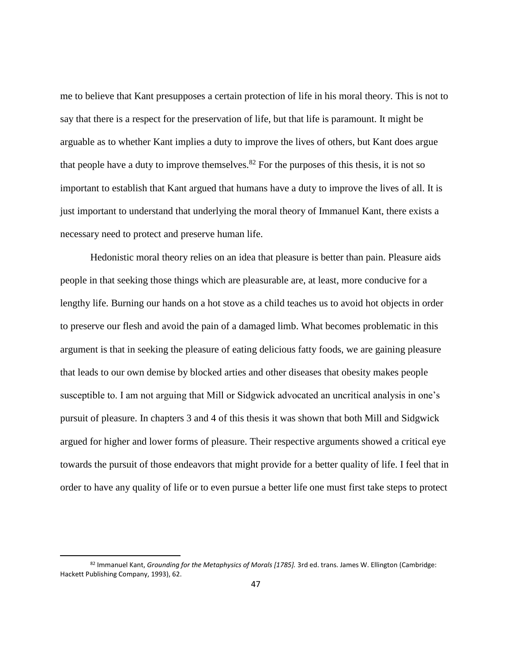me to believe that Kant presupposes a certain protection of life in his moral theory. This is not to say that there is a respect for the preservation of life, but that life is paramount. It might be arguable as to whether Kant implies a duty to improve the lives of others, but Kant does argue that people have a duty to improve themselves.<sup>82</sup> For the purposes of this thesis, it is not so important to establish that Kant argued that humans have a duty to improve the lives of all. It is just important to understand that underlying the moral theory of Immanuel Kant, there exists a necessary need to protect and preserve human life.

Hedonistic moral theory relies on an idea that pleasure is better than pain. Pleasure aids people in that seeking those things which are pleasurable are, at least, more conducive for a lengthy life. Burning our hands on a hot stove as a child teaches us to avoid hot objects in order to preserve our flesh and avoid the pain of a damaged limb. What becomes problematic in this argument is that in seeking the pleasure of eating delicious fatty foods, we are gaining pleasure that leads to our own demise by blocked arties and other diseases that obesity makes people susceptible to. I am not arguing that Mill or Sidgwick advocated an uncritical analysis in one's pursuit of pleasure. In chapters 3 and 4 of this thesis it was shown that both Mill and Sidgwick argued for higher and lower forms of pleasure. Their respective arguments showed a critical eye towards the pursuit of those endeavors that might provide for a better quality of life. I feel that in order to have any quality of life or to even pursue a better life one must first take steps to protect

 $\overline{a}$ 

<sup>82</sup> Immanuel Kant, *Grounding for the Metaphysics of Morals [1785].* 3rd ed. trans. James W. Ellington (Cambridge: Hackett Publishing Company, 1993), 62.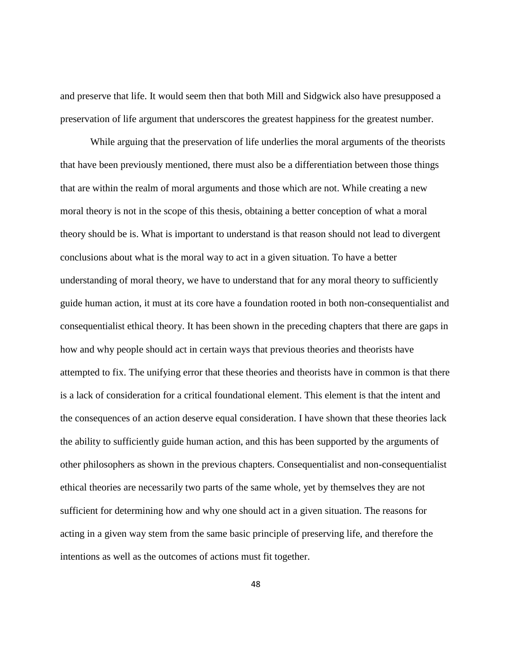and preserve that life. It would seem then that both Mill and Sidgwick also have presupposed a preservation of life argument that underscores the greatest happiness for the greatest number.

While arguing that the preservation of life underlies the moral arguments of the theorists that have been previously mentioned, there must also be a differentiation between those things that are within the realm of moral arguments and those which are not. While creating a new moral theory is not in the scope of this thesis, obtaining a better conception of what a moral theory should be is. What is important to understand is that reason should not lead to divergent conclusions about what is the moral way to act in a given situation. To have a better understanding of moral theory, we have to understand that for any moral theory to sufficiently guide human action, it must at its core have a foundation rooted in both non-consequentialist and consequentialist ethical theory. It has been shown in the preceding chapters that there are gaps in how and why people should act in certain ways that previous theories and theorists have attempted to fix. The unifying error that these theories and theorists have in common is that there is a lack of consideration for a critical foundational element. This element is that the intent and the consequences of an action deserve equal consideration. I have shown that these theories lack the ability to sufficiently guide human action, and this has been supported by the arguments of other philosophers as shown in the previous chapters. Consequentialist and non-consequentialist ethical theories are necessarily two parts of the same whole, yet by themselves they are not sufficient for determining how and why one should act in a given situation. The reasons for acting in a given way stem from the same basic principle of preserving life, and therefore the intentions as well as the outcomes of actions must fit together.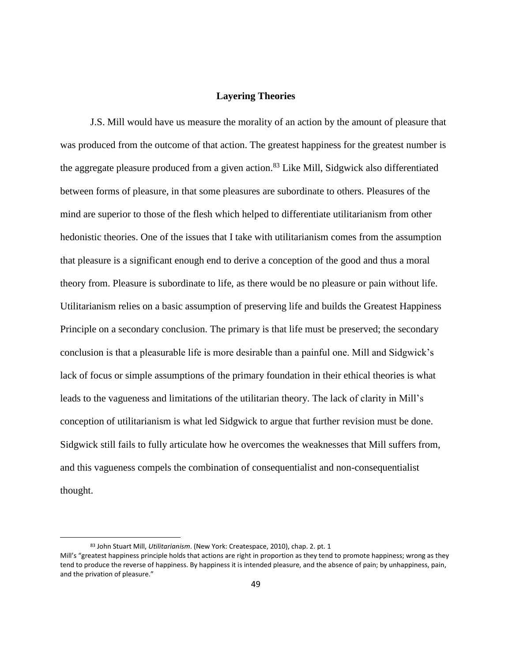#### **Layering Theories**

<span id="page-55-0"></span>J.S. Mill would have us measure the morality of an action by the amount of pleasure that was produced from the outcome of that action. The greatest happiness for the greatest number is the aggregate pleasure produced from a given action.<sup>83</sup> Like Mill, Sidgwick also differentiated between forms of pleasure, in that some pleasures are subordinate to others. Pleasures of the mind are superior to those of the flesh which helped to differentiate utilitarianism from other hedonistic theories. One of the issues that I take with utilitarianism comes from the assumption that pleasure is a significant enough end to derive a conception of the good and thus a moral theory from. Pleasure is subordinate to life, as there would be no pleasure or pain without life. Utilitarianism relies on a basic assumption of preserving life and builds the Greatest Happiness Principle on a secondary conclusion. The primary is that life must be preserved; the secondary conclusion is that a pleasurable life is more desirable than a painful one. Mill and Sidgwick's lack of focus or simple assumptions of the primary foundation in their ethical theories is what leads to the vagueness and limitations of the utilitarian theory. The lack of clarity in Mill's conception of utilitarianism is what led Sidgwick to argue that further revision must be done. Sidgwick still fails to fully articulate how he overcomes the weaknesses that Mill suffers from, and this vagueness compels the combination of consequentialist and non-consequentialist thought.

<sup>83</sup> John Stuart Mill, *Utilitarianism*. (New York: Createspace, 2010), chap. 2. pt. 1 Mill's "greatest happiness principle holds that actions are right in proportion as they tend to promote happiness; wrong as they tend to produce the reverse of happiness. By happiness it is intended pleasure, and the absence of pain; by unhappiness, pain, and the privation of pleasure."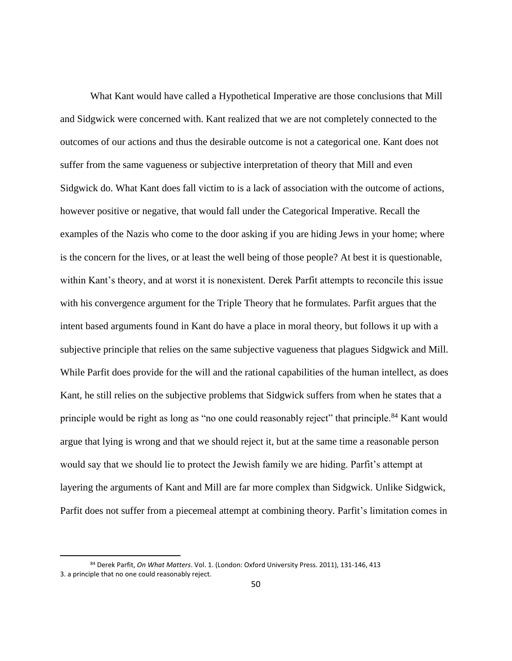What Kant would have called a Hypothetical Imperative are those conclusions that Mill and Sidgwick were concerned with. Kant realized that we are not completely connected to the outcomes of our actions and thus the desirable outcome is not a categorical one. Kant does not suffer from the same vagueness or subjective interpretation of theory that Mill and even Sidgwick do. What Kant does fall victim to is a lack of association with the outcome of actions, however positive or negative, that would fall under the Categorical Imperative. Recall the examples of the Nazis who come to the door asking if you are hiding Jews in your home; where is the concern for the lives, or at least the well being of those people? At best it is questionable, within Kant's theory, and at worst it is nonexistent. Derek Parfit attempts to reconcile this issue with his convergence argument for the Triple Theory that he formulates. Parfit argues that the intent based arguments found in Kant do have a place in moral theory, but follows it up with a subjective principle that relies on the same subjective vagueness that plagues Sidgwick and Mill. While Parfit does provide for the will and the rational capabilities of the human intellect, as does Kant, he still relies on the subjective problems that Sidgwick suffers from when he states that a principle would be right as long as "no one could reasonably reject" that principle.<sup>84</sup> Kant would argue that lying is wrong and that we should reject it, but at the same time a reasonable person would say that we should lie to protect the Jewish family we are hiding. Parfit's attempt at layering the arguments of Kant and Mill are far more complex than Sidgwick. Unlike Sidgwick, Parfit does not suffer from a piecemeal attempt at combining theory. Parfit's limitation comes in

 $\overline{a}$ 

<sup>84</sup> Derek Parfit, *On What Matters*. Vol. 1. (London: Oxford University Press. 2011), 131-146, 413 3. a principle that no one could reasonably reject.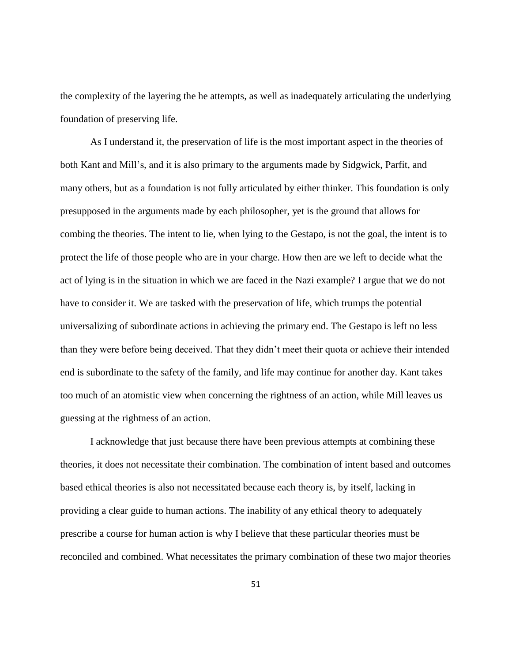the complexity of the layering the he attempts, as well as inadequately articulating the underlying foundation of preserving life.

As I understand it, the preservation of life is the most important aspect in the theories of both Kant and Mill's, and it is also primary to the arguments made by Sidgwick, Parfit, and many others, but as a foundation is not fully articulated by either thinker. This foundation is only presupposed in the arguments made by each philosopher, yet is the ground that allows for combing the theories. The intent to lie, when lying to the Gestapo, is not the goal, the intent is to protect the life of those people who are in your charge. How then are we left to decide what the act of lying is in the situation in which we are faced in the Nazi example? I argue that we do not have to consider it. We are tasked with the preservation of life, which trumps the potential universalizing of subordinate actions in achieving the primary end. The Gestapo is left no less than they were before being deceived. That they didn't meet their quota or achieve their intended end is subordinate to the safety of the family, and life may continue for another day. Kant takes too much of an atomistic view when concerning the rightness of an action, while Mill leaves us guessing at the rightness of an action.

I acknowledge that just because there have been previous attempts at combining these theories, it does not necessitate their combination. The combination of intent based and outcomes based ethical theories is also not necessitated because each theory is, by itself, lacking in providing a clear guide to human actions. The inability of any ethical theory to adequately prescribe a course for human action is why I believe that these particular theories must be reconciled and combined. What necessitates the primary combination of these two major theories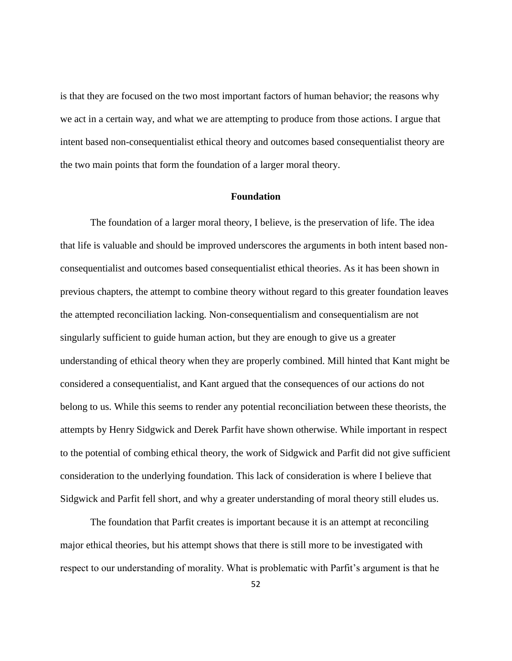is that they are focused on the two most important factors of human behavior; the reasons why we act in a certain way, and what we are attempting to produce from those actions. I argue that intent based non-consequentialist ethical theory and outcomes based consequentialist theory are the two main points that form the foundation of a larger moral theory.

#### **Foundation**

<span id="page-58-0"></span>The foundation of a larger moral theory, I believe, is the preservation of life. The idea that life is valuable and should be improved underscores the arguments in both intent based nonconsequentialist and outcomes based consequentialist ethical theories. As it has been shown in previous chapters, the attempt to combine theory without regard to this greater foundation leaves the attempted reconciliation lacking. Non-consequentialism and consequentialism are not singularly sufficient to guide human action, but they are enough to give us a greater understanding of ethical theory when they are properly combined. Mill hinted that Kant might be considered a consequentialist, and Kant argued that the consequences of our actions do not belong to us. While this seems to render any potential reconciliation between these theorists, the attempts by Henry Sidgwick and Derek Parfit have shown otherwise. While important in respect to the potential of combing ethical theory, the work of Sidgwick and Parfit did not give sufficient consideration to the underlying foundation. This lack of consideration is where I believe that Sidgwick and Parfit fell short, and why a greater understanding of moral theory still eludes us.

The foundation that Parfit creates is important because it is an attempt at reconciling major ethical theories, but his attempt shows that there is still more to be investigated with respect to our understanding of morality. What is problematic with Parfit's argument is that he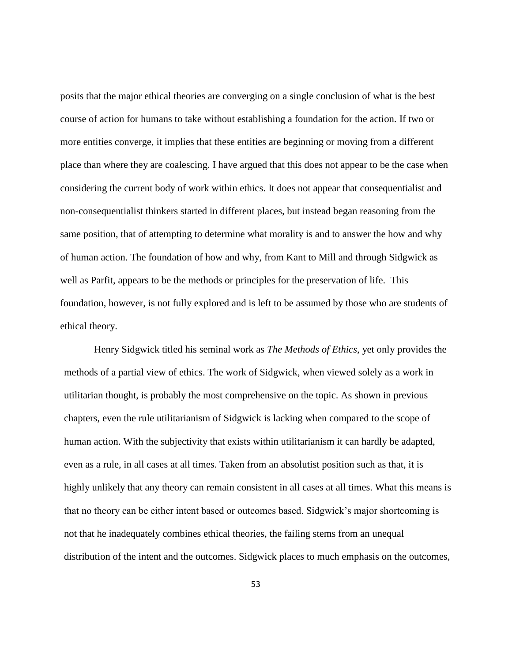posits that the major ethical theories are converging on a single conclusion of what is the best course of action for humans to take without establishing a foundation for the action. If two or more entities converge, it implies that these entities are beginning or moving from a different place than where they are coalescing. I have argued that this does not appear to be the case when considering the current body of work within ethics. It does not appear that consequentialist and non-consequentialist thinkers started in different places, but instead began reasoning from the same position, that of attempting to determine what morality is and to answer the how and why of human action. The foundation of how and why, from Kant to Mill and through Sidgwick as well as Parfit, appears to be the methods or principles for the preservation of life. This foundation, however, is not fully explored and is left to be assumed by those who are students of ethical theory.

Henry Sidgwick titled his seminal work as *The Methods of Ethics*, yet only provides the methods of a partial view of ethics. The work of Sidgwick, when viewed solely as a work in utilitarian thought, is probably the most comprehensive on the topic. As shown in previous chapters, even the rule utilitarianism of Sidgwick is lacking when compared to the scope of human action. With the subjectivity that exists within utilitarianism it can hardly be adapted, even as a rule, in all cases at all times. Taken from an absolutist position such as that, it is highly unlikely that any theory can remain consistent in all cases at all times. What this means is that no theory can be either intent based or outcomes based. Sidgwick's major shortcoming is not that he inadequately combines ethical theories, the failing stems from an unequal distribution of the intent and the outcomes. Sidgwick places to much emphasis on the outcomes,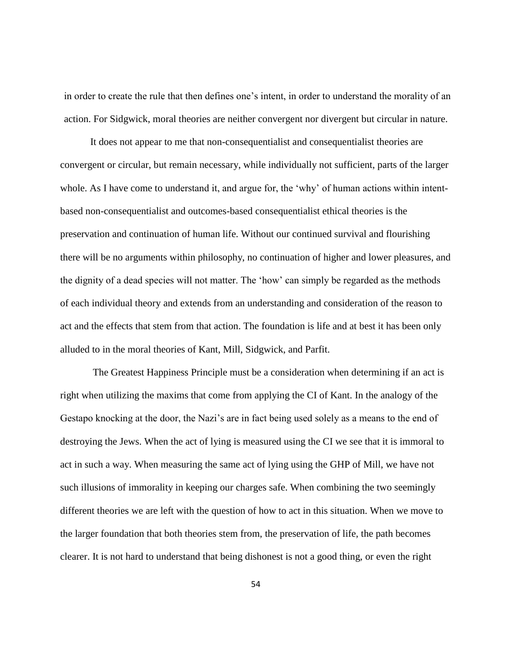in order to create the rule that then defines one's intent, in order to understand the morality of an action. For Sidgwick, moral theories are neither convergent nor divergent but circular in nature.

It does not appear to me that non-consequentialist and consequentialist theories are convergent or circular, but remain necessary, while individually not sufficient, parts of the larger whole. As I have come to understand it, and argue for, the 'why' of human actions within intentbased non-consequentialist and outcomes-based consequentialist ethical theories is the preservation and continuation of human life. Without our continued survival and flourishing there will be no arguments within philosophy, no continuation of higher and lower pleasures, and the dignity of a dead species will not matter. The 'how' can simply be regarded as the methods of each individual theory and extends from an understanding and consideration of the reason to act and the effects that stem from that action. The foundation is life and at best it has been only alluded to in the moral theories of Kant, Mill, Sidgwick, and Parfit.

The Greatest Happiness Principle must be a consideration when determining if an act is right when utilizing the maxims that come from applying the CI of Kant. In the analogy of the Gestapo knocking at the door, the Nazi's are in fact being used solely as a means to the end of destroying the Jews. When the act of lying is measured using the CI we see that it is immoral to act in such a way. When measuring the same act of lying using the GHP of Mill, we have not such illusions of immorality in keeping our charges safe. When combining the two seemingly different theories we are left with the question of how to act in this situation. When we move to the larger foundation that both theories stem from, the preservation of life, the path becomes clearer. It is not hard to understand that being dishonest is not a good thing, or even the right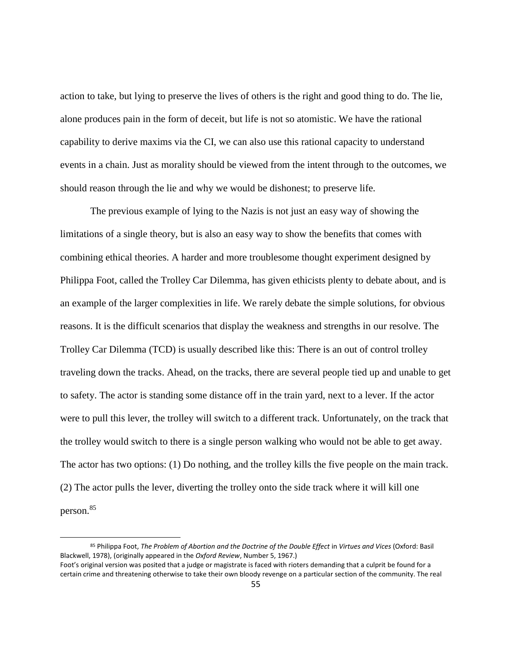action to take, but lying to preserve the lives of others is the right and good thing to do. The lie, alone produces pain in the form of deceit, but life is not so atomistic. We have the rational capability to derive maxims via the CI, we can also use this rational capacity to understand events in a chain. Just as morality should be viewed from the intent through to the outcomes, we should reason through the lie and why we would be dishonest; to preserve life.

The previous example of lying to the Nazis is not just an easy way of showing the limitations of a single theory, but is also an easy way to show the benefits that comes with combining ethical theories. A harder and more troublesome thought experiment designed by Philippa Foot, called the Trolley Car Dilemma, has given ethicists plenty to debate about, and is an example of the larger complexities in life. We rarely debate the simple solutions, for obvious reasons. It is the difficult scenarios that display the weakness and strengths in our resolve. The Trolley Car Dilemma (TCD) is usually described like this: There is an out of control trolley traveling down the tracks. Ahead, on the tracks, there are several people tied up and unable to get to safety. The actor is standing some distance off in the train yard, next to a lever. If the actor were to pull this lever, the trolley will switch to a different track. Unfortunately, on the track that the trolley would switch to there is a single person walking who would not be able to get away. The actor has two options: (1) Do nothing, and the trolley kills the five people on the main track. (2) The actor pulls the lever, diverting the trolley onto the side track where it will kill one person. 85

<sup>85</sup> Philippa Foot, *The Problem of Abortion and the Doctrine of the Double Effect* in *Virtues and Vices* (Oxford: Basil Blackwell, 1978), (originally appeared in the *Oxford Review*, Number 5, 1967.) Foot's original version was posited that a judge or magistrate is faced with rioters demanding that a culprit be found for a certain crime and threatening otherwise to take their own bloody revenge on a particular section of the community. The real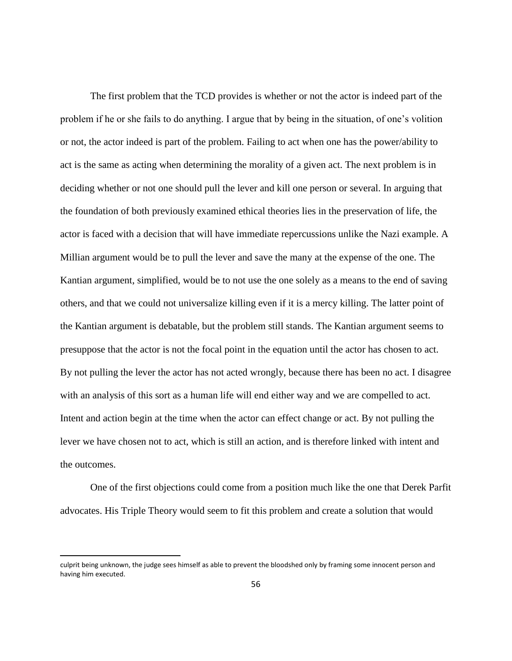The first problem that the TCD provides is whether or not the actor is indeed part of the problem if he or she fails to do anything. I argue that by being in the situation, of one's volition or not, the actor indeed is part of the problem. Failing to act when one has the power/ability to act is the same as acting when determining the morality of a given act. The next problem is in deciding whether or not one should pull the lever and kill one person or several. In arguing that the foundation of both previously examined ethical theories lies in the preservation of life, the actor is faced with a decision that will have immediate repercussions unlike the Nazi example. A Millian argument would be to pull the lever and save the many at the expense of the one. The Kantian argument, simplified, would be to not use the one solely as a means to the end of saving others, and that we could not universalize killing even if it is a mercy killing. The latter point of the Kantian argument is debatable, but the problem still stands. The Kantian argument seems to presuppose that the actor is not the focal point in the equation until the actor has chosen to act. By not pulling the lever the actor has not acted wrongly, because there has been no act. I disagree with an analysis of this sort as a human life will end either way and we are compelled to act. Intent and action begin at the time when the actor can effect change or act. By not pulling the lever we have chosen not to act, which is still an action, and is therefore linked with intent and the outcomes.

One of the first objections could come from a position much like the one that Derek Parfit advocates. His Triple Theory would seem to fit this problem and create a solution that would

 $\overline{a}$ 

culprit being unknown, the judge sees himself as able to prevent the bloodshed only by framing some innocent person and having him executed.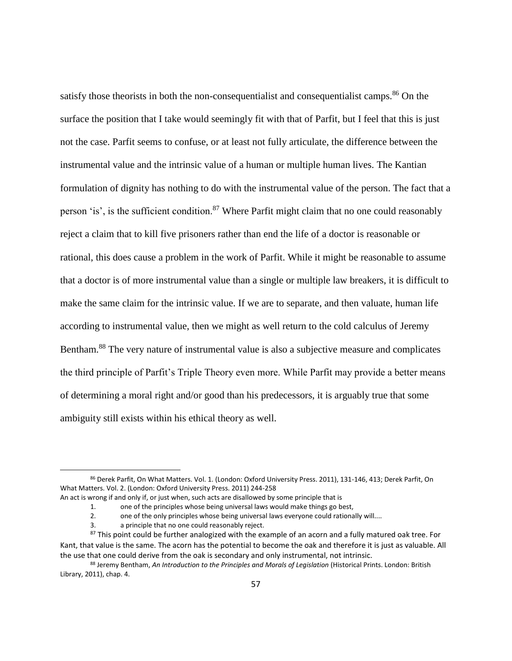satisfy those theorists in both the non-consequentialist and consequentialist camps.<sup>86</sup> On the surface the position that I take would seemingly fit with that of Parfit, but I feel that this is just not the case. Parfit seems to confuse, or at least not fully articulate, the difference between the instrumental value and the intrinsic value of a human or multiple human lives. The Kantian formulation of dignity has nothing to do with the instrumental value of the person. The fact that a person 'is', is the sufficient condition.<sup>87</sup> Where Parfit might claim that no one could reasonably reject a claim that to kill five prisoners rather than end the life of a doctor is reasonable or rational, this does cause a problem in the work of Parfit. While it might be reasonable to assume that a doctor is of more instrumental value than a single or multiple law breakers, it is difficult to make the same claim for the intrinsic value. If we are to separate, and then valuate, human life according to instrumental value, then we might as well return to the cold calculus of Jeremy Bentham.<sup>88</sup> The very nature of instrumental value is also a subjective measure and complicates the third principle of Parfit's Triple Theory even more. While Parfit may provide a better means of determining a moral right and/or good than his predecessors, it is arguably true that some ambiguity still exists within his ethical theory as well.

<sup>86</sup> Derek Parfit, On What Matters. Vol. 1. (London: Oxford University Press. 2011), 131-146, 413; Derek Parfit, On What Matters. Vol. 2. (London: Oxford University Press. 2011) 244-258

An act is wrong if and only if, or just when, such acts are disallowed by some principle that is

<sup>1.</sup> one of the principles whose being universal laws would make things go best,

<sup>2.</sup> one of the only principles whose being universal laws everyone could rationally will....

<sup>3.</sup> a principle that no one could reasonably reject.

<sup>&</sup>lt;sup>87</sup> This point could be further analogized with the example of an acorn and a fully matured oak tree. For Kant, that value is the same. The acorn has the potential to become the oak and therefore it is just as valuable. All the use that one could derive from the oak is secondary and only instrumental, not intrinsic.

<sup>88</sup> Jeremy Bentham, *An Introduction to the Principles and Morals of Legislation* (Historical Prints. London: British Library, 2011), chap. 4.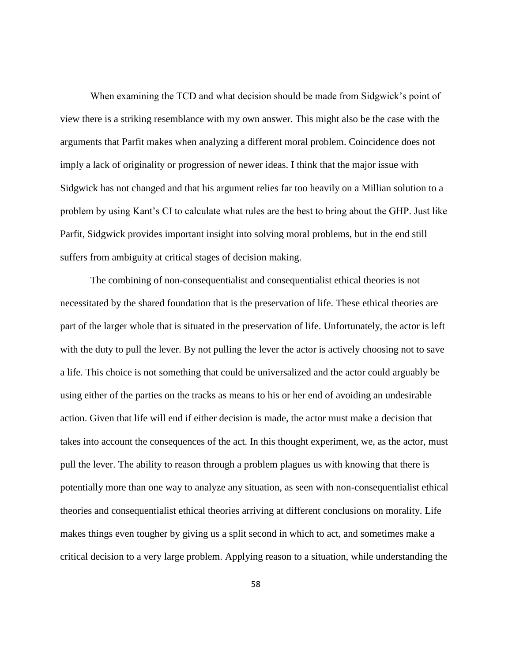When examining the TCD and what decision should be made from Sidgwick's point of view there is a striking resemblance with my own answer. This might also be the case with the arguments that Parfit makes when analyzing a different moral problem. Coincidence does not imply a lack of originality or progression of newer ideas. I think that the major issue with Sidgwick has not changed and that his argument relies far too heavily on a Millian solution to a problem by using Kant's CI to calculate what rules are the best to bring about the GHP. Just like Parfit, Sidgwick provides important insight into solving moral problems, but in the end still suffers from ambiguity at critical stages of decision making.

The combining of non-consequentialist and consequentialist ethical theories is not necessitated by the shared foundation that is the preservation of life. These ethical theories are part of the larger whole that is situated in the preservation of life. Unfortunately, the actor is left with the duty to pull the lever. By not pulling the lever the actor is actively choosing not to save a life. This choice is not something that could be universalized and the actor could arguably be using either of the parties on the tracks as means to his or her end of avoiding an undesirable action. Given that life will end if either decision is made, the actor must make a decision that takes into account the consequences of the act. In this thought experiment, we, as the actor, must pull the lever. The ability to reason through a problem plagues us with knowing that there is potentially more than one way to analyze any situation, as seen with non-consequentialist ethical theories and consequentialist ethical theories arriving at different conclusions on morality. Life makes things even tougher by giving us a split second in which to act, and sometimes make a critical decision to a very large problem. Applying reason to a situation, while understanding the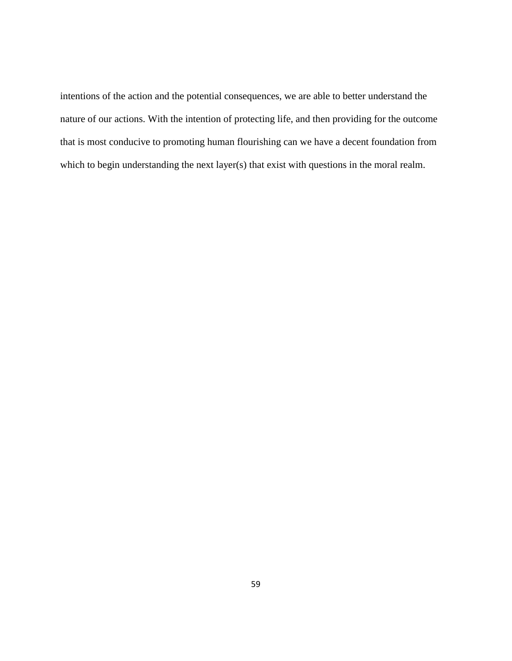intentions of the action and the potential consequences, we are able to better understand the nature of our actions. With the intention of protecting life, and then providing for the outcome that is most conducive to promoting human flourishing can we have a decent foundation from which to begin understanding the next layer(s) that exist with questions in the moral realm.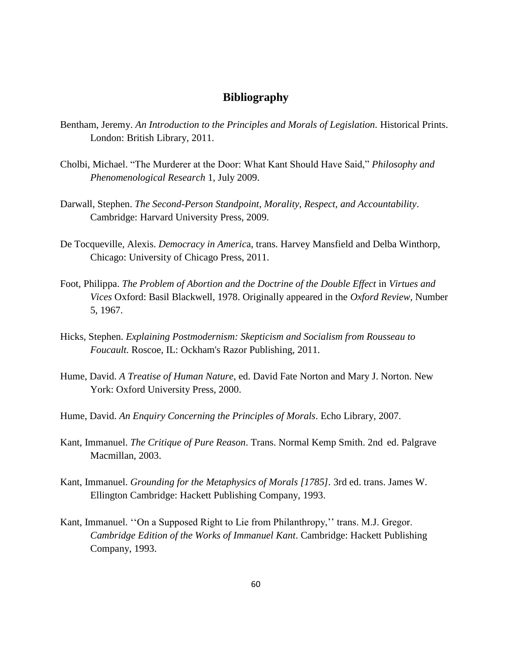## **Bibliography**

- <span id="page-66-0"></span>Bentham, Jeremy. *An Introduction to the Principles and Morals of Legislation.* Historical Prints. London: British Library, 2011.
- Cholbi, Michael. "The Murderer at the Door: What Kant Should Have Said," *Philosophy and Phenomenological Research* 1, July 2009.
- Darwall, Stephen. *The Second-Person Standpoint, Morality, Respect, and Accountability*. Cambridge: Harvard University Press, 2009.
- De Tocqueville, Alexis. *Democracy in Americ*a, trans. Harvey Mansfield and Delba Winthorp, Chicago: University of Chicago Press, 2011.
- Foot, Philippa. *The Problem of Abortion and the Doctrine of the Double Effect* in *Virtues and Vices* Oxford: Basil Blackwell, 1978. Originally appeared in the *Oxford Review*, Number 5, 1967.
- Hicks, Stephen. *Explaining Postmodernism: Skepticism and Socialism from Rousseau to Foucault.* Roscoe, IL: Ockham's Razor Publishing, 2011.
- Hume, David. *A Treatise of Human Nature*, ed. David Fate Norton and Mary J. Norton. New York: Oxford University Press, 2000.
- Hume, David. *An Enquiry Concerning the Principles of Morals*. Echo Library, 2007.
- Kant, Immanuel. *The Critique of Pure Reason*. Trans. Normal Kemp Smith. 2nd ed. Palgrave Macmillan, 2003.
- Kant, Immanuel. *Grounding for the Metaphysics of Morals [1785].* 3rd ed. trans. James W. Ellington Cambridge: Hackett Publishing Company, 1993.
- Kant, Immanuel. ''On a Supposed Right to Lie from Philanthropy,'' trans. M.J. Gregor. *Cambridge Edition of the Works of Immanuel Kant*. Cambridge: Hackett Publishing Company, 1993.